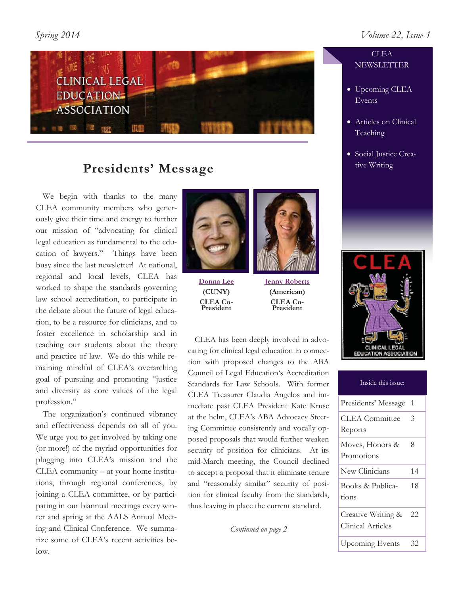

# **Presidents' Message**

 We begin with thanks to the many CLEA community members who generously give their time and energy to further our mission of "advocating for clinical legal education as fundamental to the education of lawyers." Things have been busy since the last newsletter! At national, regional and local levels, CLEA has worked to shape the standards governing law school accreditation, to participate in the debate about the future of legal education, to be a resource for clinicians, and to foster excellence in scholarship and in teaching our students about the theory and practice of law. We do this while remaining mindful of CLEA's overarching goal of pursuing and promoting "justice and diversity as core values of the legal profession."

 The organization's continued vibrancy and effectiveness depends on all of you. We urge you to get involved by taking one (or more!) of the myriad opportunities for plugging into CLEA's mission and the CLEA community – at your home institutions, through regional conferences, by joining a CLEA committee, or by participating in our biannual meetings every winter and spring at the AALS Annual Meeting and Clinical Conference. We summarize some of CLEA's recent activities below.



**Donna Lee (CUNY) CLEA Co-President** 

**Jenny Roberts (American) CLEA Co-President** 

 CLEA has been deeply involved in advocating for clinical legal education in connection with proposed changes to the ABA Council of Legal Education's Accreditation Standards for Law Schools. With former CLEA Treasurer Claudia Angelos and immediate past CLEA President Kate Kruse at the helm, CLEA's ABA Advocacy Steering Committee consistently and vocally opposed proposals that would further weaken security of position for clinicians. At its mid-March meeting, the Council declined to accept a proposal that it eliminate tenure and "reasonably similar" security of position for clinical faculty from the standards, thus leaving in place the current standard.

*Continued on page 2*

# **CLEA NEWSLETTER**

- Upcoming CLEA Events
- Articles on Clinical Teaching
- Social Justice Creative Writing



| Inside this issue:                             |    |
|------------------------------------------------|----|
| Presidents' Message                            | 1  |
| <b>CLEA</b> Committee<br>Reports               | 3  |
| Moves, Honors &<br>Promotions                  | 8  |
| New Clinicians                                 | 14 |
| Books & Publica-<br>tions                      | 18 |
| Creative Writing &<br><b>Clinical Articles</b> | 22 |
| <b>Upcoming Events</b>                         | 32 |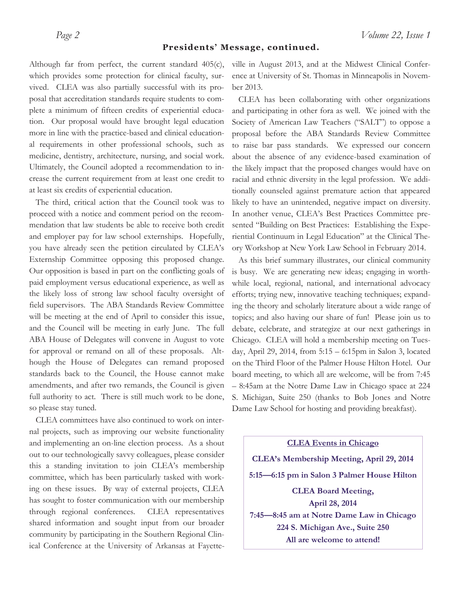#### **Presidents' Message, continued.**

Although far from perfect, the current standard 405(c), which provides some protection for clinical faculty, survived. CLEA was also partially successful with its proposal that accreditation standards require students to complete a minimum of fifteen credits of experiential education. Our proposal would have brought legal education more in line with the practice-based and clinical educational requirements in other professional schools, such as medicine, dentistry, architecture, nursing, and social work. Ultimately, the Council adopted a recommendation to increase the current requirement from at least one credit to at least six credits of experiential education.

 The third, critical action that the Council took was to proceed with a notice and comment period on the recommendation that law students be able to receive both credit and employer pay for law school externships. Hopefully, you have already seen the petition circulated by CLEA's Externship Committee opposing this proposed change. Our opposition is based in part on the conflicting goals of paid employment versus educational experience, as well as the likely loss of strong law school faculty oversight of field supervisors. The ABA Standards Review Committee will be meeting at the end of April to consider this issue, and the Council will be meeting in early June. The full ABA House of Delegates will convene in August to vote for approval or remand on all of these proposals. Although the House of Delegates can remand proposed standards back to the Council, the House cannot make amendments, and after two remands, the Council is given full authority to act. There is still much work to be done, so please stay tuned.

 CLEA committees have also continued to work on internal projects, such as improving our website functionality and implementing an on-line election process. As a shout out to our technologically savvy colleagues, please consider this a standing invitation to join CLEA's membership committee, which has been particularly tasked with working on these issues. By way of external projects, CLEA has sought to foster communication with our membership through regional conferences. CLEA representatives shared information and sought input from our broader community by participating in the Southern Regional Clinical Conference at the University of Arkansas at Fayetteville in August 2013, and at the Midwest Clinical Conference at University of St. Thomas in Minneapolis in November 2013.

 CLEA has been collaborating with other organizations and participating in other fora as well. We joined with the Society of American Law Teachers ("SALT") to oppose a proposal before the ABA Standards Review Committee to raise bar pass standards. We expressed our concern about the absence of any evidence-based examination of the likely impact that the proposed changes would have on racial and ethnic diversity in the legal profession. We additionally counseled against premature action that appeared likely to have an unintended, negative impact on diversity. In another venue, CLEA's Best Practices Committee presented "Building on Best Practices: Establishing the Experiential Continuum in Legal Education" at the Clinical Theory Workshop at New York Law School in February 2014.

 As this brief summary illustrates, our clinical community is busy. We are generating new ideas; engaging in worthwhile local, regional, national, and international advocacy efforts; trying new, innovative teaching techniques; expanding the theory and scholarly literature about a wide range of topics; and also having our share of fun! Please join us to debate, celebrate, and strategize at our next gatherings in Chicago. CLEA will hold a membership meeting on Tuesday, April 29, 2014, from 5:15 – 6:15pm in Salon 3, located on the Third Floor of the Palmer House Hilton Hotel. Our board meeting, to which all are welcome, will be from 7:45 – 8:45am at the Notre Dame Law in Chicago space at 224 S. Michigan, Suite 250 (thanks to Bob Jones and Notre Dame Law School for hosting and providing breakfast).

**CLEA Events in Chicago CLEA's Membership Meeting, April 29, 2014 5:15—6:15 pm in Salon 3 Palmer House Hilton CLEA Board Meeting, April 28, 2014 7:45—8:45 am at Notre Dame Law in Chicago 224 S. Michigan Ave., Suite 250 All are welcome to attend!**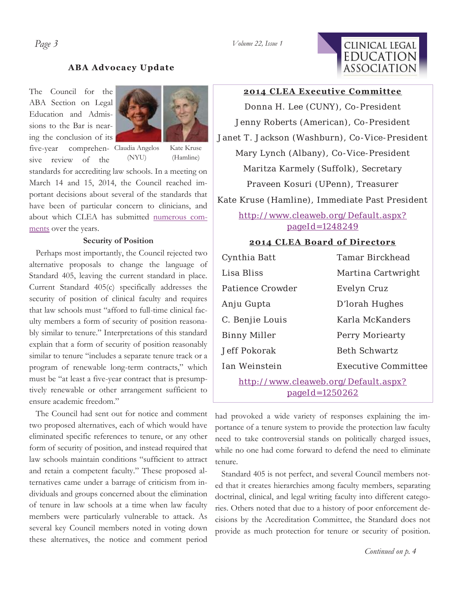

### **ABA Advocacy Update**

The Council for the ABA Section on Legal Education and Admissions to the Bar is nearing the conclusion of its



five-year comprehen-Claudia Angelos sive review of the

Kate Kruse (Hamline)

standards for accrediting law schools. In a meeting on March 14 and 15, 2014, the Council reached important decisions about several of the standards that have been of particular concern to clinicians, and about which CLEA has submitted numerous comments over the years.

(NYU)

#### **Security of Position**

 Perhaps most importantly, the Council rejected two alternative proposals to change the language of Standard 405, leaving the current standard in place. Current Standard 405(c) specifically addresses the security of position of clinical faculty and requires that law schools must "afford to full-time clinical faculty members a form of security of position reasonably similar to tenure." Interpretations of this standard explain that a form of security of position reasonably similar to tenure "includes a separate tenure track or a program of renewable long-term contracts," which must be "at least a five-year contract that is presumptively renewable or other arrangement sufficient to ensure academic freedom."

 The Council had sent out for notice and comment two proposed alternatives, each of which would have eliminated specific references to tenure, or any other form of security of position, and instead required that law schools maintain conditions "sufficient to attract and retain a competent faculty." These proposed alternatives came under a barrage of criticism from individuals and groups concerned about the elimination of tenure in law schools at a time when law faculty members were particularly vulnerable to attack. As several key Council members noted in voting down these alternatives, the notice and comment period

**2014 CLEA Executive Committee** 

Donna H. Lee (CUNY), Co-President Jenny Roberts (American), Co-President Janet T. Jackson (Washburn), Co-Vice-President Mary Lynch (Albany), Co-Vice-President Maritza Karmely (Suffolk), Secretary Praveen Kosuri (UPenn), Treasurer

Kate Kruse (Hamline), Immediate Past President

# http://www.cleaweb.org/Default.aspx? pageId=1248249

#### **2014 CLEA Board of Directors**

| Cynthia Batt                         | Tamar Birckhead            |  |
|--------------------------------------|----------------------------|--|
| Lisa Bliss                           | Martina Cartwright         |  |
| Patience Crowder                     | Evelyn Cruz                |  |
| Anju Gupta                           | D'Iorah Hughes             |  |
| C. Benjie Louis                      | Karla McKanders            |  |
| <b>Binny Miller</b>                  | Perry Moriearty            |  |
| Jeff Pokorak                         | <b>Beth Schwartz</b>       |  |
| lan Weinstein                        | <b>Executive Committee</b> |  |
| http://www.cleaweb.org/Default.aspx? |                            |  |
| $page1d = 1250262$                   |                            |  |

had provoked a wide variety of responses explaining the importance of a tenure system to provide the protection law faculty need to take controversial stands on politically charged issues, while no one had come forward to defend the need to eliminate tenure.

 Standard 405 is not perfect, and several Council members noted that it creates hierarchies among faculty members, separating doctrinal, clinical, and legal writing faculty into different categories. Others noted that due to a history of poor enforcement decisions by the Accreditation Committee, the Standard does not provide as much protection for tenure or security of position.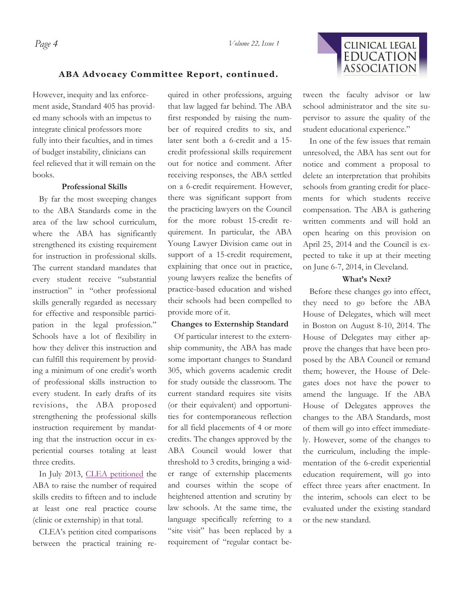

#### **ABA Advocacy Committee Report, continued.**

However, inequity and lax enforcement aside, Standard 405 has provided many schools with an impetus to integrate clinical professors more fully into their faculties, and in times of budget instability, clinicians can feel relieved that it will remain on the books.

#### **Professional Skills**

 By far the most sweeping changes to the ABA Standards come in the area of the law school curriculum, where the ABA has significantly strengthened its existing requirement for instruction in professional skills. The current standard mandates that every student receive "substantial instruction" in "other professional skills generally regarded as necessary for effective and responsible participation in the legal profession." Schools have a lot of flexibility in how they deliver this instruction and can fulfill this requirement by providing a minimum of one credit's worth of professional skills instruction to every student. In early drafts of its revisions, the ABA proposed strengthening the professional skills instruction requirement by mandating that the instruction occur in experiential courses totaling at least three credits.

In July 2013, CLEA petitioned the ABA to raise the number of required skills credits to fifteen and to include at least one real practice course (clinic or externship) in that total.

 CLEA's petition cited comparisons between the practical training required in other professions, arguing that law lagged far behind. The ABA first responded by raising the number of required credits to six, and later sent both a 6-credit and a 15 credit professional skills requirement out for notice and comment. After receiving responses, the ABA settled on a 6-credit requirement. However, there was significant support from the practicing lawyers on the Council for the more robust 15-credit requirement. In particular, the ABA Young Lawyer Division came out in support of a 15-credit requirement, explaining that once out in practice, young lawyers realize the benefits of practice-based education and wished their schools had been compelled to provide more of it.

#### **Changes to Externship Standard**

 Of particular interest to the externship community, the ABA has made some important changes to Standard 305, which governs academic credit for study outside the classroom. The current standard requires site visits (or their equivalent) and opportunities for contemporaneous reflection for all field placements of 4 or more credits. The changes approved by the ABA Council would lower that threshold to 3 credits, bringing a wider range of externship placements and courses within the scope of heightened attention and scrutiny by law schools. At the same time, the language specifically referring to a "site visit" has been replaced by a requirement of "regular contact between the faculty advisor or law school administrator and the site supervisor to assure the quality of the student educational experience."

 In one of the few issues that remain unresolved, the ABA has sent out for notice and comment a proposal to delete an interpretation that prohibits schools from granting credit for placements for which students receive compensation. The ABA is gathering written comments and will hold an open hearing on this provision on April 25, 2014 and the Council is expected to take it up at their meeting on June 6-7, 2014, in Cleveland.

#### **What's Next?**

 Before these changes go into effect, they need to go before the ABA House of Delegates, which will meet in Boston on August 8-10, 2014. The House of Delegates may either approve the changes that have been proposed by the ABA Council or remand them; however, the House of Delegates does not have the power to amend the language. If the ABA House of Delegates approves the changes to the ABA Standards, most of them will go into effect immediately. However, some of the changes to the curriculum, including the implementation of the 6-credit experiential education requirement, will go into effect three years after enactment. In the interim, schools can elect to be evaluated under the existing standard or the new standard.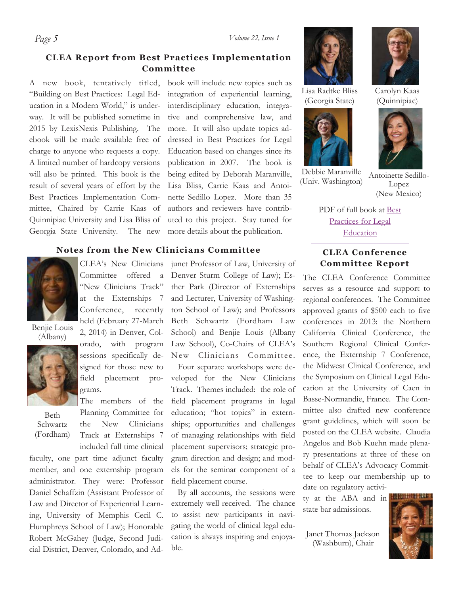# **CLEA Report from Best Practices Implementation Committee**

A new book, tentatively titled, "Building on Best Practices: Legal Education in a Modern World," is underway. It will be published sometime in 2015 by LexisNexis Publishing. The ebook will be made available free of charge to anyone who requests a copy. A limited number of hardcopy versions will also be printed. This book is the result of several years of effort by the Best Practices Implementation Committee, Chaired by Carrie Kaas of Quinnipiac University and Lisa Bliss of Georgia State University. The new

book will include new topics such as integration of experiential learning, interdisciplinary education, integrative and comprehensive law, and more. It will also update topics addressed in Best Practices for Legal Education based on changes since its publication in 2007. The book is being edited by Deborah Maranville, Lisa Bliss, Carrie Kaas and Antoinette Sedillo Lopez. More than 35 authors and reviewers have contributed to this project. Stay tuned for more details about the publication.

### **Notes from the New Clinicians Committee**



Benjie Louis (Albany)



Beth Schwartz (Fordham)

Committee offered a "New Clinicians Track" at the Externships 7 Conference, recently held (February 27-March 2, 2014) in Denver, Colorado, with program sessions specifically designed for those new to

CLEA's New Clinicians

field placement programs. The members of the

Planning Committee for the New Clinicians Track at Externships 7 included full time clinical

faculty, one part time adjunct faculty member, and one externship program administrator. They were: Professor Daniel Schaffzin (Assistant Professor of Law and Director of Experiential Learning, University of Memphis Cecil C. Humphreys School of Law); Honorable Robert McGahey (Judge, Second Judicial District, Denver, Colorado, and Ad-

junct Professor of Law, University of Denver Sturm College of Law); Esther Park (Director of Externships and Lecturer, University of Washington School of Law); and Professors Beth Schwartz (Fordham Law School) and Benjie Louis (Albany Law School), Co-Chairs of CLEA's New Clinicians Committee. Four separate workshops were developed for the New Clinicians Track. Themes included: the role of field placement programs in legal education; "hot topics" in externships; opportunities and challenges of managing relationships with field placement supervisors; strategic program direction and design; and models for the seminar component of a field placement course.

 By all accounts, the sessions were extremely well received. The chance to assist new participants in navigating the world of clinical legal education is always inspiring and enjoyable.





Lisa Radtke Bliss (Georgia State)



Debbie Maranville (Univ. Washington)

Carolyn Kaas (Quinnipiac)



Antoinette Sedillo-Lopez (New Mexico)

PDF of full book at Best Practices for Legal **Education** 

## **CLEA Conference Committee Report**

The CLEA Conference Committee serves as a resource and support to regional conferences. The Committee approved grants of \$500 each to five conferences in 2013: the Northern California Clinical Conference, the Southern Regional Clinical Conference, the Externship 7 Conference, the Midwest Clinical Conference, and the Symposium on Clinical Legal Education at the University of Caen in Basse-Normandie, France. The Committee also drafted new conference grant guidelines, which will soon be posted on the CLEA website. Claudia Angelos and Bob Kuehn made plenary presentations at three of these on behalf of CLEA's Advocacy Committee to keep our membership up to date on regulatory activi-

ty at the ABA and in state bar admissions.

Janet Thomas Jackson (Washburn), Chair



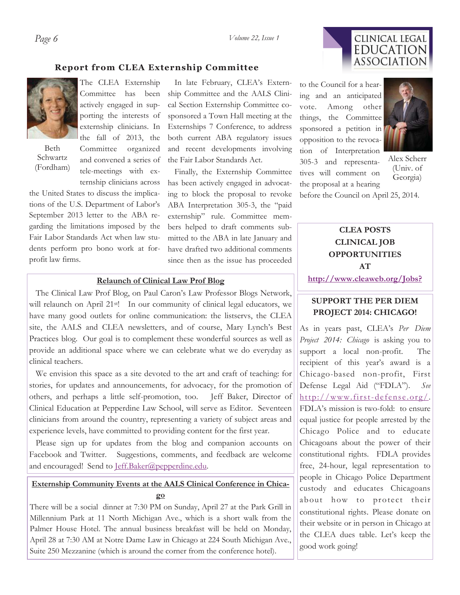# **CLINICAL LEGAL EDUCATION ASSOCIATION**

#### **Report from CLEA Externship Committee**



Beth Schwartz (Fordham)

The CLEA Externship Committee has been actively engaged in supporting the interests of externship clinicians. In the fall of 2013, the Committee organized and convened a series of

tele-meetings with externship clinicians across

the United States to discuss the implications of the U.S. Department of Labor's September 2013 letter to the ABA regarding the limitations imposed by the Fair Labor Standards Act when law students perform pro bono work at forprofit law firms.

 In late February, CLEA's Externship Committee and the AALS Clinical Section Externship Committee cosponsored a Town Hall meeting at the Externships 7 Conference, to address both current ABA regulatory issues and recent developments involving the Fair Labor Standards Act.

 Finally, the Externship Committee has been actively engaged in advocating to block the proposal to revoke ABA Interpretation 305-3, the "paid externship" rule. Committee members helped to draft comments submitted to the ABA in late January and have drafted two additional comments since then as the issue has proceeded

#### **Relaunch of Clinical Law Prof Blog**

 The Clinical Law Prof Blog, on Paul Caron's Law Professor Blogs Network, will relaunch on April 21<sup>st</sup>! In our community of clinical legal educators, we have many good outlets for online communication: the listservs, the CLEA site, the AALS and CLEA newsletters, and of course, Mary Lynch's Best Practices blog. Our goal is to complement these wonderful sources as well as provide an additional space where we can celebrate what we do everyday as clinical teachers.

 We envision this space as a site devoted to the art and craft of teaching: for stories, for updates and announcements, for advocacy, for the promotion of others, and perhaps a little self-promotion, too. Jeff Baker, Director of Clinical Education at Pepperdine Law School, will serve as Editor. Seventeen clinicians from around the country, representing a variety of subject areas and experience levels, have committed to providing content for the first year.

 Please sign up for updates from the blog and companion accounts on Facebook and Twitter. Suggestions, comments, and feedback are welcome and encouraged! Send to *Jeff.Baker@pepperdine.edu.* 

### **Externship Community Events at the AALS Clinical Conference in Chicago**

There will be a social dinner at 7:30 PM on Sunday, April 27 at the Park Grill in Millennium Park at 11 North Michigan Ave., which is a short walk from the Palmer House Hotel. The annual business breakfast will be held on Monday, April 28 at 7:30 AM at Notre Dame Law in Chicago at 224 South Michigan Ave., Suite 250 Mezzanine (which is around the corner from the conference hotel).

to the Council for a hearing and an anticipated vote. Among other things, the Committee sponsored a petition in opposition to the revocation of Interpretation 305-3 and representatives will comment on the proposal at a hearing



Alex Scherr (Univ. of Georgia)

before the Council on April 25, 2014.

# **CLINICAL JOB OPPORTUNITIES AT http://www.cleaweb.org/Jobs?**

**CLEA POSTS** 

## **SUPPORT THE PER DIEM PROJECT 2014: CHICAGO!**

As in years past, CLEA's *Per Diem Project 2014: Chicago* is asking you to support a local non-profit. The recipient of this year's award is a Chicago-based non-profit, First Defense Legal Aid ("FDLA"). *See* http://www.first-defense.org/. FDLA's mission is two-fold: to ensure equal justice for people arrested by the Chicago Police and to educate Chicagoans about the power of their constitutional rights. FDLA provides free, 24-hour, legal representation to people in Chicago Police Department custody and educates Chicagoans about how to protect their constitutional rights. Please donate on their website or in person in Chicago at the CLEA dues table. Let's keep the good work going!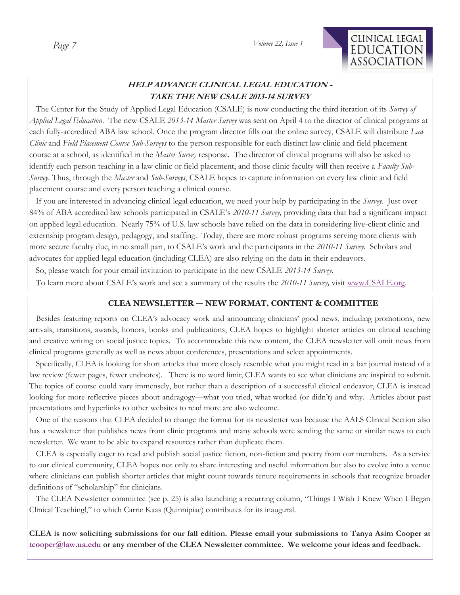*Volume 22, Issue 1* 



# **HELP ADVANCE CLINICAL LEGAL EDUCATION - TAKE THE NEW CSALE 2013-14 SURVEY**

 The Center for the Study of Applied Legal Education (CSALE) is now conducting the third iteration of its *Survey of Applied Legal Education*. The new CSALE *2013-14 Master Survey* was sent on April 4 to the director of clinical programs at each fully-accredited ABA law school. Once the program director fills out the online survey, CSALE will distribute *Law Clinic* and *Field Placement Course Sub-Surveys* to the person responsible for each distinct law clinic and field placement course at a school, as identified in the *Master Survey* response. The director of clinical programs will also be asked to identify each person teaching in a law clinic or field placement, and those clinic faculty will then receive a *Faculty Sub-Survey*. Thus, through the *Master* and *Sub-Surveys*, CSALE hopes to capture information on every law clinic and field placement course and every person teaching a clinical course.

 If you are interested in advancing clinical legal education, we need your help by participating in the *Survey*. Just over 84% of ABA accredited law schools participated in CSALE's *2010-11 Survey,* providing data that had a significant impact on applied legal education. Nearly 75% of U.S. law schools have relied on the data in considering live-client clinic and externship program design, pedagogy, and staffing. Today, there are more robust programs serving more clients with more secure faculty due, in no small part, to CSALE's work and the participants in the *2010-11 Survey.* Scholars and advocates for applied legal education (including CLEA) are also relying on the data in their endeavors.

So, please watch for your email invitation to participate in the new CSALE *2013-14 Survey*.

To learn more about CSALE's work and see a summary of the results the *2010-11 Survey,* visit www.CSALE.org.

### **CLEA NEWSLETTER — NEW FORMAT, CONTENT & COMMITTEE**

 Besides featuring reports on CLEA's advocacy work and announcing clinicians' good news, including promotions, new arrivals, transitions, awards, honors, books and publications, CLEA hopes to highlight shorter articles on clinical teaching and creative writing on social justice topics. To accommodate this new content, the CLEA newsletter will omit news from clinical programs generally as well as news about conferences, presentations and select appointments.

 Specifically, CLEA is looking for short articles that more closely resemble what you might read in a bar journal instead of a law review (fewer pages, fewer endnotes). There is no word limit; CLEA wants to see what clinicians are inspired to submit. The topics of course could vary immensely, but rather than a description of a successful clinical endeavor, CLEA is instead looking for more reflective pieces about andragogy—what you tried, what worked (or didn't) and why. Articles about past presentations and hyperlinks to other websites to read more are also welcome.

 One of the reasons that CLEA decided to change the format for its newsletter was because the AALS Clinical Section also has a newsletter that publishes news from clinic programs and many schools were sending the same or similar news to each newsletter. We want to be able to expand resources rather than duplicate them.

 CLEA is especially eager to read and publish social justice fiction, non-fiction and poetry from our members. As a service to our clinical community, CLEA hopes not only to share interesting and useful information but also to evolve into a venue where clinicians can publish shorter articles that might count towards tenure requirements in schools that recognize broader definitions of "scholarship" for clinicians.

 The CLEA Newsletter committee (see p. 25) is also launching a recurring column, "Things I Wish I Knew When I Began Clinical Teaching!," to which Carrie Kaas (Quinnipiac) contributes for its inaugural.

**CLEA is now soliciting submissions for our fall edition. Please email your submissions to Tanya Asim Cooper at tcooper@law.ua.edu or any member of the CLEA Newsletter committee. We welcome your ideas and feedback.**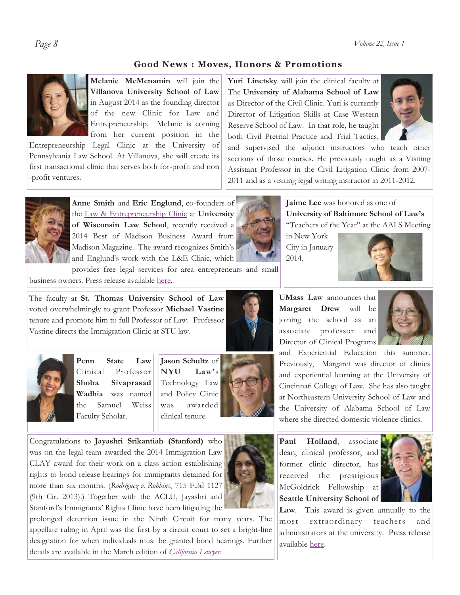*Page 8 Volume 22, Issue 1* 

# **Good News : Moves, Honors & Promotions**



**Melanie McMenamin** will join the **Villanova University School of Law** in August 2014 as the founding director of the new Clinic for Law and Entrepreneurship. Melanie is coming from her current position in the

Entrepreneurship Legal Clinic at the University of Pennsylvania Law School. At Villanova, she will create its first transactional clinic that serves both for-profit and non -profit ventures.



**Anne Smith** and **Eric Englund**, co-founders of the Law & Entrepreneurship Clinic at **University of Wisconsin Law School**, recently received a 2014 Best of Madison Business Award from Madison Magazine. The award recognizes Smith's and Englund's work with the L&E Clinic, which

provides free legal services for area entrepreneurs and small business owners. Press release available here.

The faculty at **St. Thomas University School of Law**  voted overwhelmingly to grant Professor **Michael Vastine** tenure and promote him to full Professor of Law. Professor Vastine directs the Immigration Clinic at STU law.



**Penn State Law** Clinical Professor **Shoba Sivaprasad Wadhia** was named the Samuel Weiss Faculty Scholar.



clinical tenure.



Congratulations to **Jayashri Srikantiah (Stanford)** who was on the legal team awarded the 2014 Immigration Law CLAY award for their work on a class action establishing rights to bond release hearings for immigrants detained for more than six months. (*Rodriguez v. Robbins*, 715 F.3d 1127 (9th Cir. 2013).) Together with the ACLU, Jayashri and Stanford's Immigrants' Rights Clinic have been litigating the



prolonged detention issue in the Ninth Circuit for many years. The appellate ruling in April was the first by a circuit court to set a bright-line designation for when individuals must be granted bond hearings. Further details are available in the March edition of *California Lawyer*.

**Yuri Linetsky** will join the clinical faculty at The **University of Alabama School of Law**  as Director of the Civil Clinic. Yuri is currently Director of Litigation Skills at Case Western Reserve School of Law. In that role, he taught both Civil Pretrial Practice and Trial Tactics,



and supervised the adjunct instructors who teach other sections of those courses. He previously taught as a Visiting Assistant Professor in the Civil Litigation Clinic from 2007- 2011 and as a visiting legal writing instructor in 2011-2012.

> **Jaime Lee** was honored as one of **University of Baltimore School of Law's**  "Teachers of the Year" at the AALS Meeting

in New York City in January 2014.



**UMass Law** announces that **Margaret Drew** will be joining the school as an associate professor and Director of Clinical Programs



and Experiential Education this summer. Previously, Margaret was director of clinics and experiential learning at the University of Cincinnati College of Law. She has also taught at Northeastern University School of Law and the University of Alabama School of Law where she directed domestic violence clinics.

**Paul Holland**, associate dean, clinical professor, and former clinic director, has received the prestigious McGoldrick Fellowship at **Seattle University School of** 



**Law**. This award is given annually to the most extraordinary teachers and administrators at the university. Press release available here.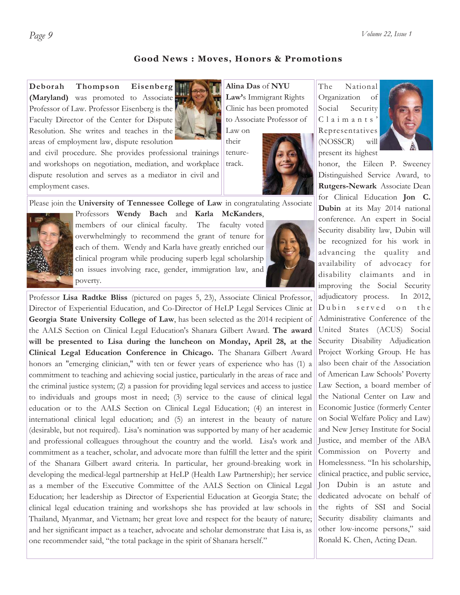#### **Good News : Moves, Honors & Promotions**

**Deborah Thompson Eisenberg (Maryland)** was promoted to Associate Professor of Law. Professor Eisenberg is the Faculty Director of the Center for Dispute Resolution. She writes and teaches in the areas of employment law, dispute resolution



and civil procedure. She provides professional trainings and workshops on negotiation, mediation, and workplace dispute resolution and serves as a mediator in civil and employment cases.

**Alina Das** of **NYU Law'**s Immigrant Rights Clinic has been promoted to Associate Professor of

Law on their tenuretrack.

The National Organization of Social Security C l a i m a n t s ' Representatives (NOSSCR) will



honor, the Eileen P. Sweeney Distinguished Service Award, to **Rutgers-Newark** Associate Dean for Clinical Education **Jon C. Dubin** at its May 2014 national conference. An expert in Social Security disability law, Dubin will be recognized for his work in advancing the quality and availability of advocacy for disability claimants and in improving the Social Security adjudicatory process. In 2012, Dubin served on the Administrative Conference of the United States (ACUS) Social Security Disability Adjudication Project Working Group. He has also been chair of the Association of American Law Schools' Poverty Law Section, a board member of the National Center on Law and Economic Justice (formerly Center on Social Welfare Policy and Law) and New Jersey Institute for Social Justice, and member of the ABA Commission on Poverty and Homelessness. "In his scholarship, clinical practice, and public service, Jon Dubin is an astute and dedicated advocate on behalf of the rights of SSI and Social Security disability claimants and other low-income persons," said Ronald K. Chen, Acting Dean.

#### Please join the **University of Tennessee College of Law** in congratulating Associate Professors **Wendy Bach** and **Karla McKanders**,



members of our clinical faculty. The faculty voted overwhelmingly to recommend the grant of tenure for each of them. Wendy and Karla have greatly enriched our clinical program while producing superb legal scholarship on issues involving race, gender, immigration law, and poverty.



Professor **Lisa Radtke Bliss** (pictured on pages 5, 23), Associate Clinical Professor, Director of Experiential Education, and Co-Director of HeLP Legal Services Clinic at **Georgia State University College of Law**, has been selected as the 2014 recipient of the AALS Section on Clinical Legal Education's Shanara Gilbert Award. **The award will be presented to Lisa during the luncheon on Monday, April 28, at the Clinical Legal Education Conference in Chicago.** The Shanara Gilbert Award honors an "emerging clinician," with ten or fewer years of experience who has (1) a commitment to teaching and achieving social justice, particularly in the areas of race and the criminal justice system; (2) a passion for providing legal services and access to justice to individuals and groups most in need; (3) service to the cause of clinical legal education or to the AALS Section on Clinical Legal Education; (4) an interest in international clinical legal education; and (5) an interest in the beauty of nature (desirable, but not required). Lisa's nomination was supported by many of her academic and professional colleagues throughout the country and the world. Lisa's work and commitment as a teacher, scholar, and advocate more than fulfill the letter and the spirit of the Shanara Gilbert award criteria. In particular, her ground-breaking work in developing the medical-legal partnership at HeLP (Health Law Partnership); her service as a member of the Executive Committee of the AALS Section on Clinical Legal Education; her leadership as Director of Experiential Education at Georgia State; the clinical legal education training and workshops she has provided at law schools in Thailand, Myanmar, and Vietnam; her great love and respect for the beauty of nature; and her significant impact as a teacher, advocate and scholar demonstrate that Lisa is, as one recommender said, "the total package in the spirit of Shanara herself."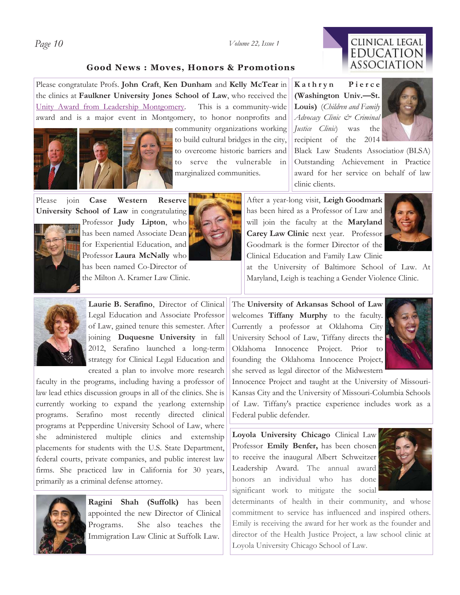#### *Page 10 Volume 22, Issue 1*

# CLINICAL LEGAL **EDUCATION** ASSOCIATION

#### **Good News : Moves, Honors & Promotions**

Please congratulate Profs. **John Craft**, **Ken Dunham** and **Kelly McTear** in the clinics at **Faulkner University Jones School of Law**, who received the Unity Award from Leadership Montgomery. This is a community-wide award and is a major event in Montgomery, to honor nonprofits and



community organizations working to build cultural bridges in the city, to overcome historic barriers and to serve the vulnerable in marginalized communities.

**K a t h r y n P i e r c e (Washington Univ.—St. Louis)** (*Children and Family Advocacy Clinic & Criminal Justice Clinic*) was the recipient of the 2014



Black Law Students Associatio*n* (BLSA) Outstanding Achievement in Practice award for her service on behalf of law clinic clients.

Please join **Case Western Reserve University School of Law** in congratulating



Professor **Judy Lipton**, who has been named Associate Dean for Experiential Education, and Professor **Laura McNally** who has been named Co-Director of the Milton A. Kramer Law Clinic.



After a year-long visit, **Leigh Goodmark**  has been hired as a Professor of Law and will join the faculty at the **Maryland Carey Law Clinic** next year. Professor Goodmark is the former Director of the Clinical Education and Family Law Clinic



at the University of Baltimore School of Law. At Maryland, Leigh is teaching a Gender Violence Clinic.



Laurie B. Serafino, Director of Clinical Legal Education and Associate Professor of Law, gained tenure this semester. After joining **Duquesne University** in fall 2012, Serafino launched a long-term strategy for Clinical Legal Education and created a plan to involve more research

faculty in the programs, including having a professor of law lead ethics discussion groups in all of the clinics. She is currently working to expand the yearlong externship programs. Serafino most recently directed clinical programs at Pepperdine University School of Law, where she administered multiple clinics and externship placements for students with the U.S. State Department, federal courts, private companies, and public interest law firms. She practiced law in California for 30 years, primarily as a criminal defense attorney.



**Ragini Shah (Suffolk)** has been appointed the new Director of Clinical Programs. She also teaches the Immigration Law Clinic at Suffolk Law.

The **University of Arkansas School of Law**  welcomes **Tiffany Murphy** to the faculty. Currently a professor at Oklahoma City University School of Law, Tiffany directs the Oklahoma Innocence Project. Prior to founding the Oklahoma Innocence Project, she served as legal director of the Midwestern



Innocence Project and taught at the University of Missouri-Kansas City and the University of Missouri-Columbia Schools of Law. Tiffany's practice experience includes work as a Federal public defender.

**Loyola University Chicago** Clinical Law Professor **Emily Benfer,** has been chosen to receive the inaugural Albert Schweitzer Leadership Award. The annual award honors an individual who has done significant work to mitigate the social



determinants of health in their community, and whose commitment to service has influenced and inspired others. Emily is receiving the award for her work as the founder and director of the Health Justice Project, a law school clinic at Loyola University Chicago School of Law.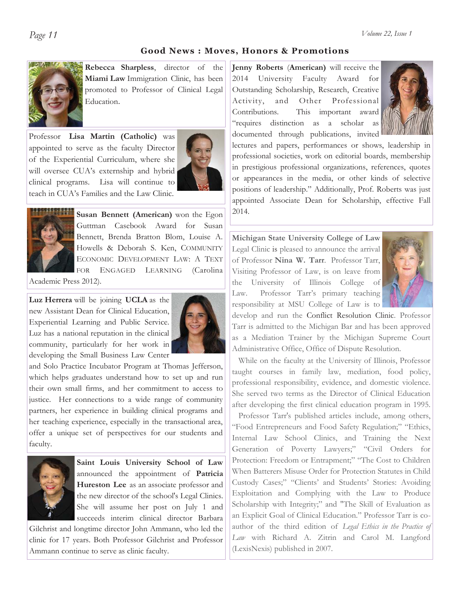#### **Good News : Moves, Honors & Promotions**

**Rebecca Sharpless**, director of the **Miami Law** Immigration Clinic, has been promoted to Professor of Clinical Legal Education.

Professor **Lisa Martin (Catholic)** was appointed to serve as the faculty Director of the Experiential Curriculum, where she will oversee CUA's externship and hybrid clinical programs. Lisa will continue to teach in CUA's Families and the Law Clinic.





**Susan Bennett (American)** won the Egon Guttman Casebook Award for Susan Bennett, Brenda Bratton Blom, Louise A. Howells & Deborah S. Ken, COMMUNITY ECONOMIC DEVELOPMENT LAW: A TEXT FOR ENGAGED LEARNING (Carolina

Academic Press 2012).

**Luz Herrera** will be joining **UCLA** as the new Assistant Dean for Clinical Education, Experiential Learning and Public Service. Luz has a national reputation in the clinical community, particularly for her work in developing the Small Business Law Center



and Solo Practice Incubator Program at Thomas Jefferson, which helps graduates understand how to set up and run their own small firms, and her commitment to access to justice. Her connections to a wide range of community partners, her experience in building clinical programs and her teaching experience, especially in the transactional area, offer a unique set of perspectives for our students and faculty.



**Saint Louis University School of Law**  announced the appointment of **Patricia Hureston Lee** as an associate professor and the new director of the school's Legal Clinics. She will assume her post on July 1 and succeeds interim clinical director Barbara

Gilchrist and longtime director John Ammann, who led the clinic for 17 years. Both Professor Gilchrist and Professor Ammann continue to serve as clinic faculty.

**Jenny Roberts** (**American)** will receive the 2014 University Faculty Award for Outstanding Scholarship, Research, Creative Activity, and Other Professional Contributions. This important award "requires distinction as a scholar as documented through publications, invited



lectures and papers, performances or shows, leadership in professional societies, work on editorial boards, membership in prestigious professional organizations, references, quotes or appearances in the media, or other kinds of selective positions of leadership." Additionally, Prof. Roberts was just appointed Associate Dean for Scholarship, effective Fall 2014.

**Michigan State University College of Law**  Legal Clinic is pleased to announce the arrival of Professor **Nina W. Tarr**. Professor Tarr, Visiting Professor of Law, is on leave from the University of Illinois College of Law. Professor Tarr's primary teaching responsibility at MSU College of Law is to



develop and run the Conflict Resolution Clinic. Professor Tarr is admitted to the Michigan Bar and has been approved as a Mediation Trainer by the Michigan Supreme Court Administrative Office, Office of Dispute Resolution.

While on the faculty at the University of Illinois, Professor taught courses in family law, mediation, food policy, professional responsibility, evidence, and domestic violence. She served two terms as the Director of Clinical Education after developing the first clinical education program in 1995.

 Professor Tarr's published articles include, among others, "Food Entrepreneurs and Food Safety Regulation;" "Ethics, Internal Law School Clinics, and Training the Next Generation of Poverty Lawyers;" "Civil Orders for Protection: Freedom or Entrapment;" "The Cost to Children When Batterers Misuse Order for Protection Statutes in Child Custody Cases;" "Clients' and Students' Stories: Avoiding Exploitation and Complying with the Law to Produce Scholarship with Integrity;" and "The Skill of Evaluation as an Explicit Goal of Clinical Education." Professor Tarr is coauthor of the third edition of *Legal Ethics in the Practice of Law* with Richard A. Zitrin and Carol M. Langford (LexisNexis) published in 2007.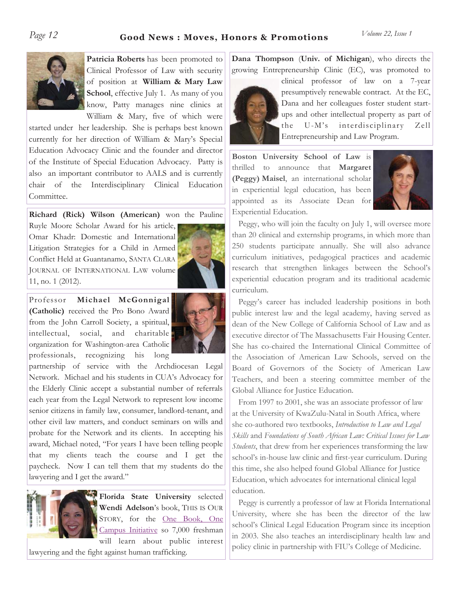# Page 12 **Good News : Moves, Honors & Promotions** *Volume 22, Issue 1*

**Patricia Roberts** has been promoted to Clinical Professor of Law with security of position at **William & Mary Law School**, effective July 1. As many of you know, Patty manages nine clinics at William & Mary, five of which were

started under her leadership. She is perhaps best known currently for her direction of William & Mary's Special Education Advocacy Clinic and the founder and director of the Institute of Special Education Advocacy. Patty is also an important contributor to AALS and is currently chair of the Interdisciplinary Clinical Education Committee.

**Richard (Rick) Wilson (American)** won the Pauline

Ruyle Moore Scholar Award for his article, Omar Khadr: Domestic and International Litigation Strategies for a Child in Armed Conflict Held at Guantanamo, SANTA CLARA JOURNAL OF INTERNATIONAL LAW volume 11, no. 1 (2012).



Professor **Michael McGonnigal (Catholic)** received the Pro Bono Award from the John Carroll Society, a spiritual, intellectual, social, and charitable organization for Washington-area Catholic professionals, recognizing his long



partnership of service with the Archdiocesan Legal Network. Michael and his students in CUA's Advocacy for the Elderly Clinic accept a substantial number of referrals each year from the Legal Network to represent low income senior citizens in family law, consumer, landlord-tenant, and other civil law matters, and conduct seminars on wills and probate for the Network and its clients. In accepting his award, Michael noted, "For years I have been telling people that my clients teach the course and I get the paycheck. Now I can tell them that my students do the lawyering and I get the award."



**Florida State University** selected **Wendi Adelson**'s book, THIS IS OUR STORY, for the One Book, One Campus Initiative so 7,000 freshman will learn about public interest

lawyering and the fight against human trafficking.

**Dana Thompson** (**Univ. of Michigan**), who directs the growing Entrepreneurship Clinic (EC), was promoted to



clinical professor of law on a 7-year presumptively renewable contract. At the EC, Dana and her colleagues foster student startups and other intellectual property as part of the U-M's interdisciplinary Zell Entrepreneurship and Law Program.

**Boston University School of Law** is thrilled to announce that **Margaret (Peggy) Maisel**, an international scholar in experiential legal education, has been appointed as its Associate Dean for Experiential Education.



 Peggy, who will join the faculty on July 1, will oversee more than 20 clinical and externship programs, in which more than 250 students participate annually. She will also advance curriculum initiatives, pedagogical practices and academic research that strengthen linkages between the School's experiential education program and its traditional academic curriculum.

 Peggy's career has included leadership positions in both public interest law and the legal academy, having served as dean of the New College of California School of Law and as executive director of The Massachusetts Fair Housing Center. She has co-chaired the International Clinical Committee of the Association of American Law Schools, served on the Board of Governors of the Society of American Law Teachers, and been a steering committee member of the Global Alliance for Justice Education.

 From 1997 to 2001, she was an associate professor of law at the University of KwaZulu-Natal in South Africa, where she co-authored two textbooks, *Introduction to Law and Legal Skills* and *Foundations of South African Law: Critical Issues for Law Students*, that drew from her experiences transforming the law school's in-house law clinic and first-year curriculum. During this time, she also helped found Global Alliance for Justice Education, which advocates for international clinical legal education.

 Peggy is currently a professor of law at Florida International University, where she has been the director of the law school's Clinical Legal Education Program since its inception in 2003. She also teaches an interdisciplinary health law and policy clinic in partnership with FIU's College of Medicine.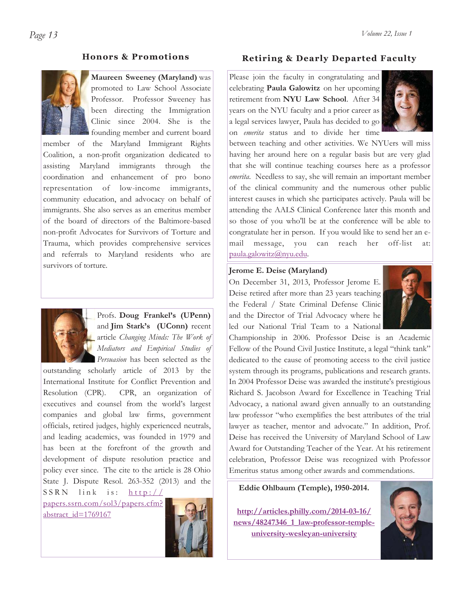#### **Honors & Promotions**



**Maureen Sweeney (Maryland)** was promoted to Law School Associate Professor. Professor Sweeney has been directing the Immigration Clinic since 2004. She is the founding member and current board

member of the Maryland Immigrant Rights Coalition, a non-profit organization dedicated to assisting Maryland immigrants through the coordination and enhancement of pro bono representation of low-income immigrants, community education, and advocacy on behalf of immigrants. She also serves as an emeritus member of the board of directors of the Baltimore-based non-profit Advocates for Survivors of Torture and Trauma, which provides comprehensive services and referrals to Maryland residents who are survivors of torture.



Profs. **Doug Frankel's (UPenn)**  and **Jim Stark's (UConn)** recent article *Changing Minds: The Work of Mediators and Empirical Studies of Persuasion* has been selected as the

outstanding scholarly article of 2013 by the International Institute for Conflict Prevention and Resolution (CPR). CPR, an organization of executives and counsel from the world's largest companies and global law firms, government officials, retired judges, highly experienced neutrals, and leading academics, was founded in 1979 and has been at the forefront of the growth and development of dispute resolution practice and policy ever since. The cite to the article is 28 Ohio State J. Dispute Resol. 263-352 (2013) and the SSRN link is: http://

papers.ssrn.com/sol3/papers.cfm? abstract\_id=1769167



#### **Retiring & Dearly Departed Faculty**

Please join the faculty in congratulating and celebrating **Paula Galowitz** on her upcoming retirement from **NYU Law School**. After 34 years on the NYU faculty and a prior career as a legal services lawyer, Paula has decided to go on *emerita* status and to divide her time



between teaching and other activities. We NYUers will miss having her around here on a regular basis but are very glad that she will continue teaching courses here as a professor *emerita*. Needless to say, she will remain an important member of the clinical community and the numerous other public interest causes in which she participates actively. Paula will be attending the AALS Clinical Conference later this month and so those of you who'll be at the conference will be able to congratulate her in person. If you would like to send her an email message, you can reach her off-list at: paula.galowitz@nyu.edu.

#### **Jerome E. Deise (Maryland)**

On December 31, 2013, Professor Jerome E. Deise retired after more than 23 years teaching the Federal / State Criminal Defense Clinic and the Director of Trial Advocacy where he led our National Trial Team to a National



Championship in 2006. Professor Deise is an Academic Fellow of the Pound Civil Justice Institute, a legal "think tank" dedicated to the cause of promoting access to the civil justice system through its programs, publications and research grants. In 2004 Professor Deise was awarded the institute's prestigious Richard S. Jacobson Award for Excellence in Teaching Trial Advocacy, a national award given annually to an outstanding law professor "who exemplifies the best attributes of the trial lawyer as teacher, mentor and advocate." In addition, Prof. Deise has received the University of Maryland School of Law Award for Outstanding Teacher of the Year. At his retirement celebration, Professor Deise was recognized with Professor Emeritus status among other awards and commendations.

**Eddie Ohlbaum (Temple), 1950-2014.** 

**http://articles.philly.com/2014-03-16/ news/48247346\_1\_law-professor-templeuniversity-wesleyan-university**

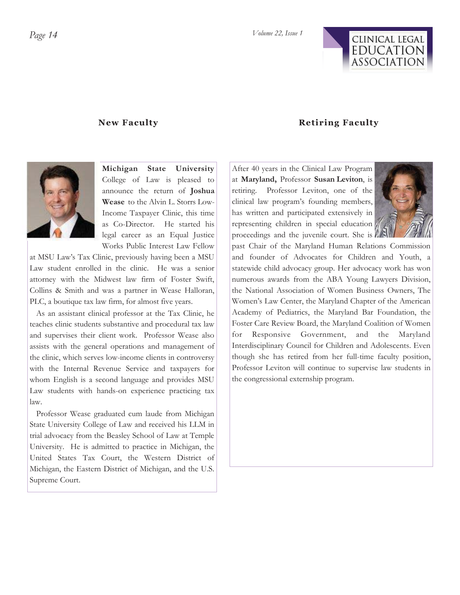

#### **New Faculty**

#### **Retiring Faculty**



**Michigan State University**  College of Law is pleased to announce the return of **Joshua Wease** to the Alvin L. Storrs Low-Income Taxpayer Clinic, this time as Co-Director. He started his legal career as an Equal Justice Works Public Interest Law Fellow

at MSU Law's Tax Clinic, previously having been a MSU Law student enrolled in the clinic. He was a senior attorney with the Midwest law firm of Foster Swift, Collins & Smith and was a partner in Wease Halloran, PLC, a boutique tax law firm, for almost five years.

 As an assistant clinical professor at the Tax Clinic, he teaches clinic students substantive and procedural tax law and supervises their client work. Professor Wease also assists with the general operations and management of the clinic, which serves low-income clients in controversy with the Internal Revenue Service and taxpayers for whom English is a second language and provides MSU Law students with hands-on experience practicing tax law.

 Professor Wease graduated cum laude from Michigan State University College of Law and received his LLM in trial advocacy from the Beasley School of Law at Temple University. He is admitted to practice in Michigan, the United States Tax Court, the Western District of Michigan, the Eastern District of Michigan, and the U.S. Supreme Court.

After 40 years in the Clinical Law Program at **Maryland,** Professor **Susan Leviton**, is retiring. Professor Leviton, one of the clinical law program's founding members, has written and participated extensively in representing children in special education proceedings and the juvenile court. She is



past Chair of the Maryland Human Relations Commission and founder of Advocates for Children and Youth, a statewide child advocacy group. Her advocacy work has won numerous awards from the ABA Young Lawyers Division, the National Association of Women Business Owners, The Women's Law Center, the Maryland Chapter of the American Academy of Pediatrics, the Maryland Bar Foundation, the Foster Care Review Board, the Maryland Coalition of Women for Responsive Government, and the Maryland Interdisciplinary Council for Children and Adolescents. Even though she has retired from her full-time faculty position, Professor Leviton will continue to supervise law students in the congressional externship program.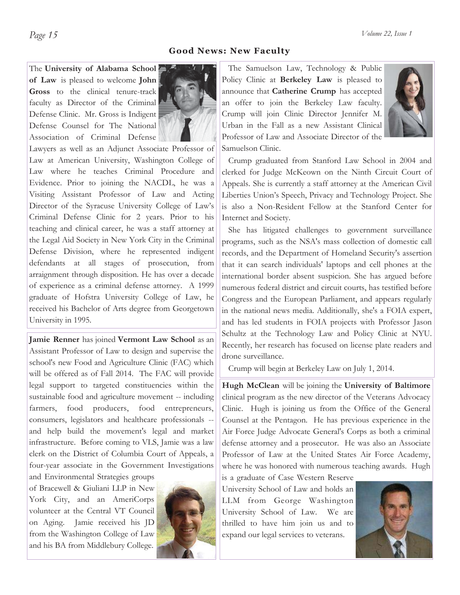*Page 15 Volume 22, Issue 1* 

#### **Good News: New Faculty**

The **University of Alabama School of Law** is pleased to welcome **John Gross** to the clinical tenure-track faculty as Director of the Criminal Defense Clinic. Mr. Gross is Indigent Defense Counsel for The National Association of Criminal Defense



Lawyers as well as an Adjunct Associate Professor of Law at American University, Washington College of Law where he teaches Criminal Procedure and Evidence. Prior to joining the NACDL, he was a Visiting Assistant Professor of Law and Acting Director of the Syracuse University College of Law's Criminal Defense Clinic for 2 years. Prior to his teaching and clinical career, he was a staff attorney at the Legal Aid Society in New York City in the Criminal Defense Division, where he represented indigent defendants at all stages of prosecution, from arraignment through disposition. He has over a decade of experience as a criminal defense attorney. A 1999 graduate of Hofstra University College of Law, he received his Bachelor of Arts degree from Georgetown University in 1995.

**Jamie Renner** has joined **Vermont Law School** as an Assistant Professor of Law to design and supervise the school's new Food and Agriculture Clinic (FAC) which will be offered as of Fall 2014. The FAC will provide legal support to targeted constituencies within the sustainable food and agriculture movement -- including farmers, food producers, food entrepreneurs, consumers, legislators and healthcare professionals - and help build the movement's legal and market infrastructure. Before coming to VLS, Jamie was a law clerk on the District of Columbia Court of Appeals, a four-year associate in the Government Investigations

and Environmental Strategies groups of Bracewell & Giuliani LLP in New York City, and an AmeriCorps volunteer at the Central VT Council on Aging. Jamie received his JD from the Washington College of Law and his BA from Middlebury College.



 The Samuelson Law, Technology & Public Policy Clinic at **Berkeley Law** is pleased to announce that **Catherine Crump** has accepted an offer to join the Berkeley Law faculty. Crump will join Clinic Director Jennifer M. Urban in the Fall as a new Assistant Clinical Professor of Law and Associate Director of the Samuelson Clinic.



 Crump graduated from Stanford Law School in 2004 and clerked for Judge McKeown on the Ninth Circuit Court of Appeals. She is currently a staff attorney at the American Civil Liberties Union's Speech, Privacy and Technology Project. She is also a Non-Resident Fellow at the Stanford Center for Internet and Society.

 She has litigated challenges to government surveillance programs, such as the NSA's mass collection of domestic call records, and the Department of Homeland Security's assertion that it can search individuals' laptops and cell phones at the international border absent suspicion. She has argued before numerous federal district and circuit courts, has testified before Congress and the European Parliament, and appears regularly in the national news media. Additionally, she's a FOIA expert, and has led students in FOIA projects with Professor Jason Schultz at the Technology Law and Policy Clinic at NYU. Recently, her research has focused on license plate readers and drone surveillance.

Crump will begin at Berkeley Law on July 1, 2014.

**Hugh McClean** will be joining the **University of Baltimore**  clinical program as the new director of the Veterans Advocacy Clinic. Hugh is joining us from the Office of the General Counsel at the Pentagon. He has previous experience in the Air Force Judge Advocate General's Corps as both a criminal defense attorney and a prosecutor. He was also an Associate Professor of Law at the United States Air Force Academy, where he was honored with numerous teaching awards. Hugh

is a graduate of Case Western Reserve University School of Law and holds an LLM from George Washington University School of Law. We are thrilled to have him join us and to expand our legal services to veterans.

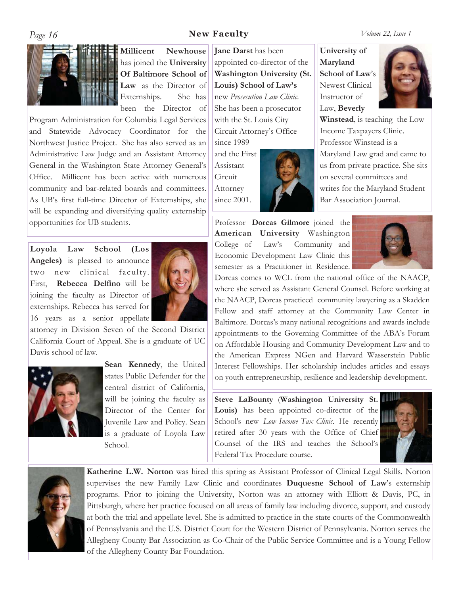# *Page 16* **<b>New Faculty**

*Volume 22, Issue 1* 



**Millicent Newhouse**  has joined the **University Of Baltimore School of Law** as the Director of Externships. She has been the Director of

Program Administration for Columbia Legal Services and Statewide Advocacy Coordinator for the Northwest Justice Project. She has also served as an Administrative Law Judge and an Assistant Attorney General in the Washington State Attorney General's Office. Millicent has been active with numerous community and bar-related boards and committees. As UB's first full-time Director of Externships, she will be expanding and diversifying quality externship opportunities for UB students.

**Loyola Law School (Los Angeles)** is pleased to announce two new clinical faculty. First, **Rebecca Delfino** will be joining the faculty as Director of externships. Rebecca has served for 16 years as a senior appellate



attorney in Division Seven of the Second District California Court of Appeal. She is a graduate of UC Davis school of law.



**Sean Kennedy**, the United states Public Defender for the central district of California, will be joining the faculty as Director of the Center for Juvenile Law and Policy. Sean is a graduate of Loyola Law School.

**Jane Darst** has been appointed co-director of the **Washington University (St. Louis) School of Law's**  new *Prosecution Law Clinic*. She has been a prosecutor with the St. Louis City Circuit Attorney's Office since 1989

and the First Assistant Circuit Attorney since 2001.

**University of Maryland School of Law**'s Newest Clinical Instructor of Law, **Beverly** 



**Winstead**, is teaching the Low Income Taxpayers Clinic. Professor Winstead is a Maryland Law grad and came to us from private practice. She sits on several committees and writes for the Maryland Student Bar Association Journal.

Professor **Dorcas Gilmore** joined the **American University** Washington College of Law's Community and Economic Development Law Clinic this semester as a Practitioner in Residence.



Dorcas comes to WCL from the national office of the NAACP, where she served as Assistant General Counsel. Before working at the NAACP, Dorcas practiced community lawyering as a Skadden Fellow and staff attorney at the Community Law Center in Baltimore. Dorcas's many national recognitions and awards include appointments to the Governing Committee of the ABA's Forum on Affordable Housing and Community Development Law and to the American Express NGen and Harvard Wasserstein Public Interest Fellowships. Her scholarship includes articles and essays on youth entrepreneurship, resilience and leadership development.

**Steve LaBounty** (**Washington University St. Louis)** has been appointed co-director of the School's new *Low Income Tax Clinic*. He recently retired after 30 years with the Office of Chief Counsel of the IRS and teaches the School's Federal Tax Procedure course.





**Katherine L.W. Norton** was hired this spring as Assistant Professor of Clinical Legal Skills. Norton supervises the new Family Law Clinic and coordinates **Duquesne School of Law**'s externship programs. Prior to joining the University, Norton was an attorney with Elliott & Davis, PC, in Pittsburgh, where her practice focused on all areas of family law including divorce, support, and custody at both the trial and appellate level. She is admitted to practice in the state courts of the Commonwealth of Pennsylvania and the U.S. District Court for the Western District of Pennsylvania. Norton serves the Allegheny County Bar Association as Co-Chair of the Public Service Committee and is a Young Fellow of the Allegheny County Bar Foundation.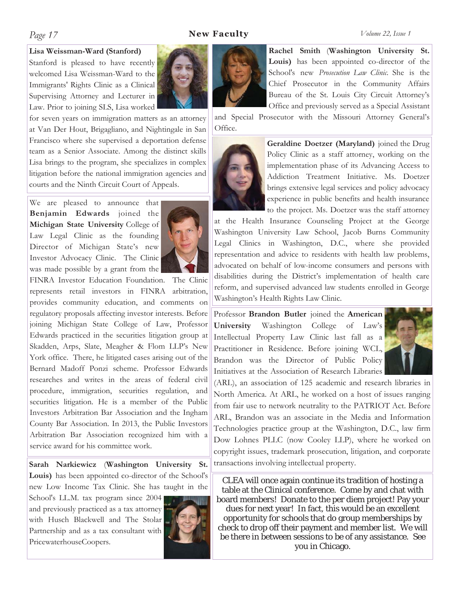### *Page 17* **New Faculty**

#### *Volume 22, Issue 1*

#### **Lisa Weissman-Ward (Stanford)**

Stanford is pleased to have recently welcomed Lisa Weissman-Ward to the Immigrants' Rights Clinic as a Clinical Supervising Attorney and Lecturer in Law. Prior to joining SLS, Lisa worked

for seven years on immigration matters as an attorney at Van Der Hout, Brigagliano, and Nightingale in San Francisco where she supervised a deportation defense team as a Senior Associate. Among the distinct skills Lisa brings to the program, she specializes in complex litigation before the national immigration agencies and courts and the Ninth Circuit Court of Appeals.

We are pleased to announce that **Benjamin Edwards** joined the **Michigan State University** College of Law Legal Clinic as the founding Director of Michigan State's new Investor Advocacy Clinic. The Clinic was made possible by a grant from the



FINRA Investor Education Foundation. The Clinic represents retail investors in FINRA arbitration, provides community education, and comments on regulatory proposals affecting investor interests. Before joining Michigan State College of Law, Professor Edwards practiced in the securities litigation group at Skadden, Arps, Slate, Meagher & Flom LLP's New York office. There, he litigated cases arising out of the Bernard Madoff Ponzi scheme. Professor Edwards researches and writes in the areas of federal civil procedure, immigration, securities regulation, and securities litigation. He is a member of the Public Investors Arbitration Bar Association and the Ingham County Bar Association. In 2013, the Public Investors Arbitration Bar Association recognized him with a service award for his committee work.

**Sarah Narkiewicz** (**Washington University St. Louis)** has been appointed co-director of the School's new Low Income Tax Clinic. She has taught in the School's LL.M. tax program since 2004

and previously practiced as a tax attorney with Husch Blackwell and The Stolar Partnership and as a tax consultant with PricewaterhouseCoopers.





and Special Prosecutor with the Missouri Attorney General's Office.



**Geraldine Doetzer (Maryland)** joined the Drug Policy Clinic as a staff attorney, working on the implementation phase of its Advancing Access to Addiction Treatment Initiative. Ms. Doetzer brings extensive legal services and policy advocacy experience in public benefits and health insurance to the project. Ms. Doetzer was the staff attorney

at the Health Insurance Counseling Project at the George Washington University Law School, Jacob Burns Community Legal Clinics in Washington, D.C., where she provided representation and advice to residents with health law problems, advocated on behalf of low-income consumers and persons with disabilities during the District's implementation of health care reform, and supervised advanced law students enrolled in George Washington's Health Rights Law Clinic.

Professor **Brandon Butler** joined the **American University** Washington College of Law's Intellectual Property Law Clinic last fall as a Practitioner in Residence. Before joining WCL, Brandon was the Director of Public Policy Initiatives at the Association of Research Libraries



(ARL), an association of 125 academic and research libraries in North America. At ARL, he worked on a host of issues ranging from fair use to network neutrality to the PATRIOT Act. Before ARL, Brandon was an associate in the Media and Information Technologies practice group at the Washington, D.C., law firm Dow Lohnes PLLC (now Cooley LLP), where he worked on copyright issues, trademark prosecution, litigation, and corporate transactions involving intellectual property.

CLEA will once again continue its tradition of hosting a table at the Clinical conference. Come by and chat with board members! Donate to the per diem project! Pay your dues for next year! In fact, this would be an excellent opportunity for schools that do group memberships by check to drop off their payment and member list. We will be there in between sessions to be of any assistance. See you in Chicago.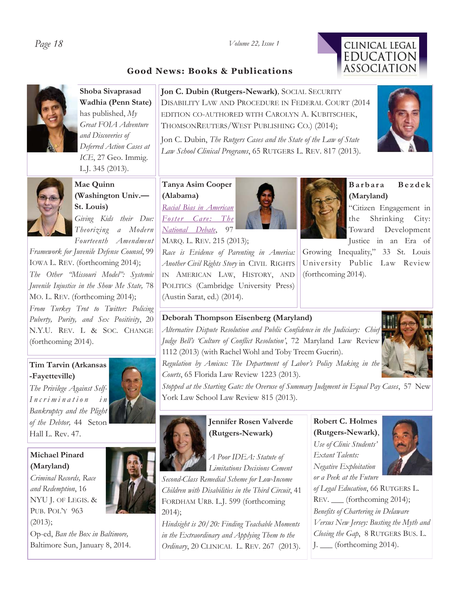## *Page 18 Volume 22, Issue 1*

# **Good News: Books & Publications**



**Shoba Sivaprasad Wadhia (Penn State)**  has published, *My Great FOIA Adventure and Discoveries of Deferred Action Cases at ICE*, 27 Geo. Immig. L.J. 345 (2013).



**Mae Quinn (Washington Univ.— St. Louis)** *Giving Kids their Due:* 

*Theorizing a Modern Fourteenth Amendment* 

*Framework for Juvenile Defense Counsel*, 99 IOWA L. REV. (forthcoming 2014); *The Other "Missouri Model": Systemic Juvenile Injustice in the Show Me State,* 78 MO. L. REV. (forthcoming 2014); *From Turkey Trot to Twitter: Policing Puberty, Purity, and Sex Positivity*, 20 N.Y.U. REV. L & SOC. CHANGE (forthcoming 2014).

### **Tim Tarvin (Arkansas -Fayetteville)**

*The Privilege Against Self-I n c r i m i n a t i o n i n Bankruptcy and the Plight of the Debtor,* 44 Seton Hall L. Rev. 47.

# **Michael Pinard (Maryland)**

*Criminal Records, Race and Redemption*, 16 NYU J. OF LEGIS. & PUB. POL'Y 963 (2013); Op-ed, *Ban the Box in Baltimore,*  Baltimore Sun, January 8, 2014.



**Jon C. Dubin (Rutgers-Newark)***,* SOCIAL SECURITY DISABILITY LAW AND PROCEDURE IN FEDERAL COURT (2014 EDITION CO-AUTHORED WITH CAROLYN A. KUBITSCHEK, THOMSONREUTERS/WEST PUBLISHING CO.) (2014);

Jon C. Dubin, *The Rutgers Cases and the State of the Law of State Law School Clinical Programs*, 65 RUTGERS L. REV. 817 (2013)*.* 

#### **Tanya Asim Cooper (Alabama)**

*Racial Bias in American Foster Care: The National Debate*, 97

MARQ. L. REV. 215 (2013);

*Race is Evidence of Parenting in America: Another Civil Rights Story* in CIVIL RIGHTS IN AMERICAN LAW, HISTORY, AND POLITICS (Cambridge University Press) (Austin Sarat, ed.) (2014).



**Barbara Bezdek (Maryland)** 

"Citizen Engagement in the Shrinking City: Toward Development Justice in an Era of

Growing Inequality," 33 St. Louis University Public Law Review (forthcoming 2014).

### **Deborah Thompson Eisenberg (Maryland)**

*Alternative Dispute Resolution and Public Confidence in the Judiciary: Chief Judge Bell's 'Culture of Conflict Resolution'*, 72 Maryland Law Review 1112 (2013) (with Rachel Wohl and Toby Treem Guerin).



*Regulation by Amicus: The Department of Labor's Policy Making in the Courts*, 65 Florida Law Review 1223 (2013).

*Stopped at the Starting Gate: the Overuse of Summary Judgment in Equal Pay Cases*, 57 New York Law School Law Review 815 (2013).



# **Jennifer Rosen Valverde (Rutgers-Newark)**

*A Poor IDEA: Statute of Limitations Decisions Cement Second-Class Remedial Scheme for Low-Income Children with Disabilities in the Third Circuit*, 41 FORDHAM URB. L.J. 599 (forthcoming 2014);

*Hindsight is 20/20: Finding Teachable Moments in the Extraordinary and Applying Them to the Ordinary*, 20 CLINICAL L. REV. 267 (2013).

**Robert C. Holmes (Rutgers-Newark)**, *Use of Clinic Students' Extant Talents: Negative Exploitation or a Peek at the Future* 



*of Legal Education*, 66 RUTGERS L. REV. \_\_\_ (forthcoming 2014); *Benefits of Chartering in Delaware Versus New Jersey: Busting the Myth and Closing the Gap*, 8 RUTGERS BUS. L. J. \_\_\_ (forthcoming 2014).



CLINICAL LEGAL **EDUCATION ASSOCIATION**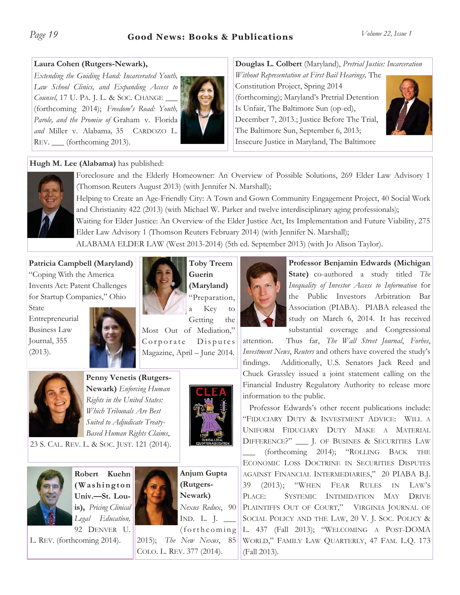# **Laura Cohen (Rutgers-Newark),**

*Extending the Guiding Hand: Incarcerated Youth, Law School Clinics, and Expanding Access to Counsel,* 17 U. PA. J. L. & SOC. CHANGE \_\_\_ (forthcoming 2014); *Freedom's Road: Youth, Parole, and the Promise of* Graham v. Florida *and* Miller v. Alabama*,* 35 CARDOZO L. REV. \_\_ (forthcoming 2013).



**Douglas L. Colbert** (Maryland), *Pretrial Justice: Incarceration* 

*Without Representation at First Bail Hearings,* The Constitution Project, Spring 2014 (forthcoming); Maryland's Pretrial Detention Is Unfair, The Baltimore Sun (op-ed), December 7, 2013.; Justice Before The Trial, The Baltimore Sun, September 6, 2013; Insecure Justice in Maryland, The Baltimore



# **Hugh M. Lee (Alabama)** has published:



Foreclosure and the Elderly Homeowner: An Overview of Possible Solutions, 269 Elder Law Advisory 1 (Thomson Reuters August 2013) (with Jennifer N. Marshall);

Helping to Create an Age-Friendly City: A Town and Gown Community Engagement Project, 40 Social Work and Christianity 422 (2013) (with Michael W. Parker and twelve interdisciplinary aging professionals);

Waiting for Elder Justice: An Overview of the Elder Justice Act, Its Implementation and Future Viability, 275 Elder Law Advisory 1 (Thomson Reuters February 2014) (with Jennifer N. Marshall);

ALABAMA ELDER LAW (West 2013-2014) (5th ed. September 2013) (with Jo Alison Taylor).

**Patricia Campbell (Maryland)** 

"Coping With the America Invents Act: Patent Challenges for Startup Companies," Ohio

State Entrepreneurial Business Law Journal, 355 (2013).





**Guerin (Maryland)** "Preparation,

a Key to Getting the

Most Out of Mediation," Corporate Disputes Magazine, April – June 2014.



**Penny Venetis (Rutgers-Newark)** *Enforcing Human Rights in the United States: Which Tribunals Are Best Suited to Adjudicate Treaty-Based Human Rights Claims*,

23 S. CAL. REV. L. & SOC. JUST. 121 (2014).

**Robert Kuehn** 



**( W a s h i n g t o n Univ.—St. Louis),** *Pricing Clinical Legal Education,* 92 DENVER U.

L. REV. (forthcoming 2014).



**Anjum Gupta (Rutgers-Newark)**  *Nexus Redux*, 90 IND. L. J. \_\_\_  $(forthcoming)$ 

2015); *The New Nexus*, 85 COLO. L. REV. 377 (2014).



**Professor Benjamin Edwards (Michigan State)** co-authored a study titled *The Inequality of Investor Access to Information* for the Public Investors Arbitration Bar Association (PIABA). PIABA released the study on March 6, 2014. It has received substantial coverage and Congressional

attention. Thus far, *The Wall Street Journal*, *Forbes*, *Investment News*, *Reuters* and others have covered the study's findings. Additionally, U.S. Senators Jack Reed and Chuck Grassley issued a joint statement calling on the Financial Industry Regulatory Authority to release more information to the public.

 Professor Edwards's other recent publications include: "FIDUCIARY DUTY & INVESTMENT ADVICE: WILL A UNIFORM FIDUCIARY DUTY MAKE A MATERIAL DIFFERENCE?" \_\_\_ J. OF BUSINES & SECURITIES LAW (forthcoming 2014); "ROLLING BACK THE ECONOMIC LOSS DOCTRINE IN SECURITIES DISPUTES AGAINST FINANCIAL INTERMEDIARIES," 20 PIABA B.J. 39 (2013); "WHEN FEAR RULES IN LAW'S PLACE: SYSTEMIC INTIMIDATION MAY DRIVE PLAINTIFFS OUT OF COURT," VIRGINIA JOURNAL OF SOCIAL POLICY AND THE LAW, 20 V. J. SOC. POLICY & L. 437 (Fall 2013); "WELCOMING A POST-DOMA WORLD," FAMILY LAW QUARTERLY, 47 FAM. L.Q. 173 (Fall 2013).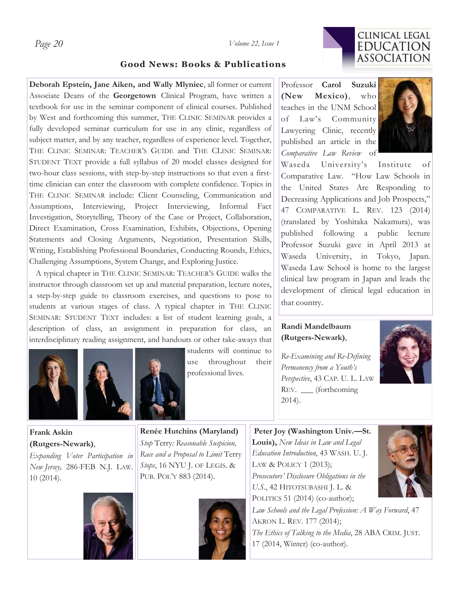*Page 20 Volume 22, Issue 1* 



## **Good News: Books & Publications**

**Deborah Epstein, Jane Aiken, and Wally Mlyniec**, all former or current Associate Deans of the **Georgetown** Clinical Program, have written a textbook for use in the seminar component of clinical courses. Published by West and forthcoming this summer, THE CLINIC SEMINAR provides a fully developed seminar curriculum for use in any clinic, regardless of subject matter, and by any teacher, regardless of experience level. Together, THE CLINIC SEMINAR: TEACHER'S GUIDE and THE CLINIC SEMINAR: STUDENT TEXT provide a full syllabus of 20 model classes designed for two-hour class sessions, with step-by-step instructions so that even a firsttime clinician can enter the classroom with complete confidence. Topics in THE CLINIC SEMINAR include: Client Counseling, Communication and Assumptions, Interviewing, Project Interviewing, Informal Fact Investigation, Storytelling, Theory of the Case or Project, Collaboration, Direct Examination, Cross Examination, Exhibits, Objections, Opening Statements and Closing Arguments, Negotiation, Presentation Skills, Writing, Establishing Professional Boundaries, Conducting Rounds, Ethics, Challenging Assumptions, System Change, and Exploring Justice.

 A typical chapter in THE CLINIC SEMINAR: TEACHER'S GUIDE walks the instructor through classroom set up and material preparation, lecture notes, a step-by-step guide to classroom exercises, and questions to pose to students at various stages of class. A typical chapter in THE CLINIC SEMINAR: STUDENT TEXT includes: a list of student learning goals, a description of class, an assignment in preparation for class, an interdisciplinary reading assignment, and handouts or other take-aways that





students will continue to use throughout their professional lives.

Professor **Carol Suzuki (New Mexico)**, who teaches in the UNM School of Law's Community Lawyering Clinic, recently published an article in the *Comparative Law Review* of



Waseda University's Institute of Comparative Law. "How Law Schools in the United States Are Responding to Decreasing Applications and Job Prospects," 47 COMPARATIVE L. REV. 123 (2014) (translated by Yoshitaka Nakamura), was published following a public lecture Professor Suzuki gave in April 2013 at Waseda University, in Tokyo, Japan. Waseda Law School is home to the largest clinical law program in Japan and leads the development of clinical legal education in that country.

## **Randi Mandelbaum (Rutgers-Newark)**,

*Re-Examining and Re-Defining Permanency from a Youth's Perspective*, 43 CAP. U. L. LAW REV. \_\_\_ (forthcoming 2014).



**Frank Askin (Rutgers-Newark)**,

*Expanding Voter Participation in New Jersey,* 286-FEB N.J. LAW. 10 (2014).



**Renée Hutchins (Maryland)**  *Stop* Terry*: Reasonable Suspicion, Race and a Proposal to Limit* Terry *Stops*, 16 NYU J. OF LEGIS. & PUB. POL'Y 883 (2014).



 **Peter Joy (Washington Univ.—St. Louis),** *New Ideas in Law and Legal Education Introduction*, 43 WASH. U. J. LAW & POLICY 1 (2013); *Prosecutors' Disclosure Obligations in the U.S.*, 42 HITOTSUBASHI J. L. & POLITICS 51 (2014) (co-author);



*Law Schools and the Legal Profession: A Way Forward*, 47 AKRON L. REV. 177 (2014); *The Ethics of Talking to the Media*, 28 ABA CRIM. JUST. 17 (2014, Winter) (co-author).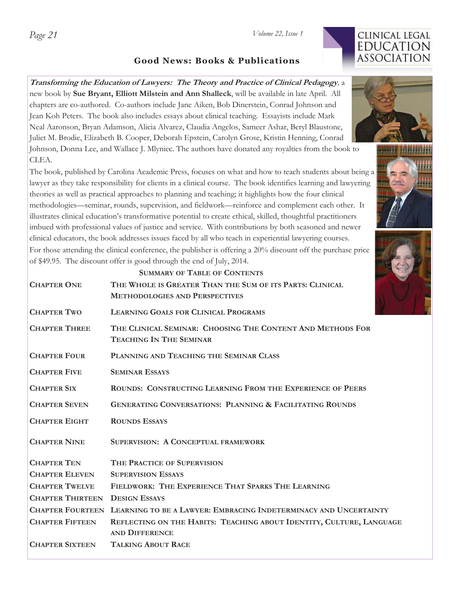# CLINICAL LEGAL **EDUCATION ASSOCIATION**

# **Good News: Books & Publications**

# **Transforming the Education of Lawyers: The Theory and Practice of Clinical Pedagogy***,* a new book by **Sue Bryant, Elliott Milstein and Ann Shalleck**, will be available in late April. All chapters are co-authored. Co-authors include Jane Aiken, Bob Dinerstein, Conrad Johnson and Jean Koh Peters. The book also includes essays about clinical teaching. Essayists include Mark Neal Aaronson, Bryan Adamson, Alicia Alvarez, Claudia Angelos, Sameer Ashar, Beryl Blaustone, Juliet M. Brodie, Elizabeth B. Cooper, Deborah Epstein, Carolyn Grose, Kristin Henning, Conrad Johnson, Donna Lee, and Wallace J. Mlyniec. The authors have donated any royalties from the book to CLEA.

The book, published by Carolina Academic Press, focuses on what and how to teach students about being a lawyer as they take responsibility for clients in a clinical course. The book identifies learning and lawyering theories as well as practical approaches to planning and teaching; it highlights how the four clinical methodologies—seminar, rounds, supervision, and fieldwork—reinforce and complement each other. It illustrates clinical education's transformative potential to create ethical, skilled, thoughtful practitioners imbued with professional values of justice and service. With contributions by both seasoned and newer clinical educators, the book addresses issues faced by all who teach in experiential lawyering courses. For those attending the clinical conference, the publisher is offering a 20% discount off the purchase price of \$49.95. The discount offer is good through the end of July, 2014.

|                         | <b>SUMMARY OF TABLE OF CONTENTS</b>                                                               |
|-------------------------|---------------------------------------------------------------------------------------------------|
| <b>CHAPTER ONE</b>      | THE WHOLE IS GREATER THAN THE SUM OF ITS PARTS: CLINICAL<br><b>METHODOLOGIES AND PERSPECTIVES</b> |
| <b>CHAPTER TWO</b>      | <b>LEARNING GOALS FOR CLINICAL PROGRAMS</b>                                                       |
| <b>CHAPTER THREE</b>    | THE CLINICAL SEMINAR: CHOOSING THE CONTENT AND METHODS FOR<br><b>TEACHING IN THE SEMINAR</b>      |
| <b>CHAPTER FOUR</b>     | PLANNING AND TEACHING THE SEMINAR CLASS                                                           |
| <b>CHAPTER FIVE</b>     | <b>SEMINAR ESSAYS</b>                                                                             |
| <b>CHAPTER SIX</b>      | ROUNDS: CONSTRUCTING LEARNING FROM THE EXPERIENCE OF PEERS                                        |
| <b>CHAPTER SEVEN</b>    | <b>GENERATING CONVERSATIONS: PLANNING &amp; FACILITATING ROUNDS</b>                               |
| <b>CHAPTER EIGHT</b>    | <b>ROUNDS ESSAYS</b>                                                                              |
| <b>CHAPTER NINE</b>     | <b>SUPERVISION: A CONCEPTUAL FRAMEWORK</b>                                                        |
| <b>CHAPTER TEN</b>      | THE PRACTICE OF SUPERVISION                                                                       |
| <b>CHAPTER ELEVEN</b>   | <b>SUPERVISION ESSAYS</b>                                                                         |
| <b>CHAPTER TWELVE</b>   | FIELDWORK: THE EXPERIENCE THAT SPARKS THE LEARNING                                                |
| <b>CHAPTER THIRTEEN</b> | <b>DESIGN ESSAYS</b>                                                                              |
| <b>CHAPTER FOURTEEN</b> | LEARNING TO BE A LAWYER: EMBRACING INDETERMINACY AND UNCERTAINTY                                  |
| <b>CHAPTER FIFTEEN</b>  | REFLECTING ON THE HABITS: TEACHING ABOUT IDENTITY, CULTURE, LANGUAGE                              |
|                         | <b>AND DIFFERENCE</b>                                                                             |
| <b>CHAPTER SIXTEEN</b>  | <b>TALKING ABOUT RACE</b>                                                                         |
|                         |                                                                                                   |





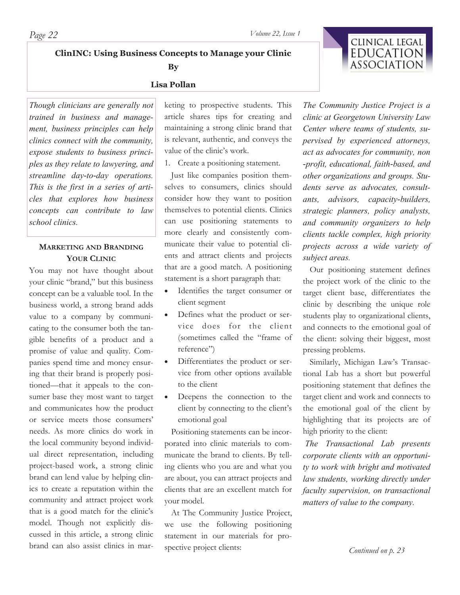**ClinINC: Using Business Concepts to Manage your Clinic** 

**By** 

#### **Lisa Pollan**

*Though clinicians are generally not trained in business and management, business principles can help clinics connect with the community, expose students to business principles as they relate to lawyering, and streamline day-to-day operations. This is the first in a series of articles that explores how business concepts can contribute to law school clinics.* 

## **MARKETING AND BRANDING YOUR CLINIC**

You may not have thought about your clinic "brand," but this business concept can be a valuable tool. In the business world, a strong brand adds value to a company by communicating to the consumer both the tangible benefits of a product and a promise of value and quality. Companies spend time and money ensuring that their brand is properly positioned—that it appeals to the consumer base they most want to target and communicates how the product or service meets those consumers' needs. As more clinics do work in the local community beyond individual direct representation, including project-based work, a strong clinic brand can lend value by helping clinics to create a reputation within the community and attract project work that is a good match for the clinic's model. Though not explicitly discussed in this article, a strong clinic brand can also assist clinics in marketing to prospective students. This article shares tips for creating and maintaining a strong clinic brand that is relevant, authentic, and conveys the value of the clinic's work.

1. Create a positioning statement.

 Just like companies position themselves to consumers, clinics should consider how they want to position themselves to potential clients. Clinics can use positioning statements to more clearly and consistently communicate their value to potential clients and attract clients and projects that are a good match. A positioning statement is a short paragraph that:

- x Identifies the target consumer or client segment
- Defines what the product or service does for the client (sometimes called the "frame of reference")
- Differentiates the product or service from other options available to the client
- Deepens the connection to the client by connecting to the client's emotional goal

 Positioning statements can be incorporated into clinic materials to communicate the brand to clients. By telling clients who you are and what you are about, you can attract projects and clients that are an excellent match for your model.

 At The Community Justice Project, we use the following positioning statement in our materials for prospective project clients:

*The Community Justice Project is a clinic at Georgetown University Law Center where teams of students, supervised by experienced attorneys, act as advocates for community, non -profit, educational, faith-based, and other organizations and groups. Students serve as advocates, consultants, advisors, capacity-builders, strategic planners, policy analysts, and community organizers to help clients tackle complex, high priority projects across a wide variety of subject areas.* 

 Our positioning statement defines the project work of the clinic to the target client base, differentiates the clinic by describing the unique role students play to organizational clients, and connects to the emotional goal of the client: solving their biggest, most pressing problems.

 Similarly, Michigan Law's Transactional Lab has a short but powerful positioning statement that defines the target client and work and connects to the emotional goal of the client by highlighting that its projects are of high priority to the client:

*The Transactional Lab presents corporate clients with an opportunity to work with bright and motivated law students, working directly under faculty supervision, on transactional matters of value to the company.* 

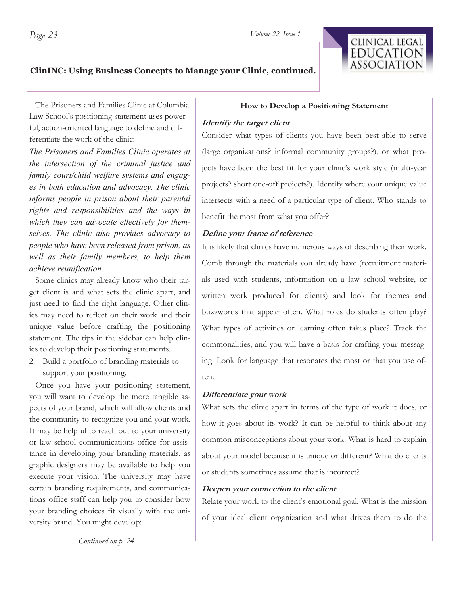## **ClinINC: Using Business Concepts to Manage your Clinic, continued.**

 The Prisoners and Families Clinic at Columbia Law School's positioning statement uses powerful, action-oriented language to define and differentiate the work of the clinic:

*The Prisoners and Families Clinic operates at the intersection of the criminal justice and family court/child welfare systems and engages in both education and advocacy. The clinic informs people in prison about their parental rights and responsibilities and the ways in which they can advocate effectively for themselves. The clinic also provides advocacy to people who have been released from prison, as well as their family members, to help them achieve reunification.*

 Some clinics may already know who their target client is and what sets the clinic apart, and just need to find the right language. Other clinics may need to reflect on their work and their unique value before crafting the positioning statement. The tips in the sidebar can help clinics to develop their positioning statements.

2. Build a portfolio of branding materials to support your positioning.

 Once you have your positioning statement, you will want to develop the more tangible aspects of your brand, which will allow clients and the community to recognize you and your work. It may be helpful to reach out to your university or law school communications office for assistance in developing your branding materials, as graphic designers may be available to help you execute your vision. The university may have certain branding requirements, and communications office staff can help you to consider how your branding choices fit visually with the university brand. You might develop:

*Continued on p. 24* 

#### **How to Develop a Positioning Statement**

#### **Identify the target client**

Consider what types of clients you have been best able to serve (large organizations? informal community groups?), or what projects have been the best fit for your clinic's work style (multi-year projects? short one-off projects?). Identify where your unique value intersects with a need of a particular type of client. Who stands to benefit the most from what you offer?

#### **Define your frame of reference**

It is likely that clinics have numerous ways of describing their work. Comb through the materials you already have (recruitment materials used with students, information on a law school website, or written work produced for clients) and look for themes and buzzwords that appear often. What roles do students often play? What types of activities or learning often takes place? Track the commonalities, and you will have a basis for crafting your messaging. Look for language that resonates the most or that you use often.

#### **Differentiate your work**

What sets the clinic apart in terms of the type of work it does, or how it goes about its work? It can be helpful to think about any common misconceptions about your work. What is hard to explain about your model because it is unique or different? What do clients or students sometimes assume that is incorrect?

#### **Deepen your connection to the client**

Relate your work to the client's emotional goal. What is the mission of your ideal client organization and what drives them to do the

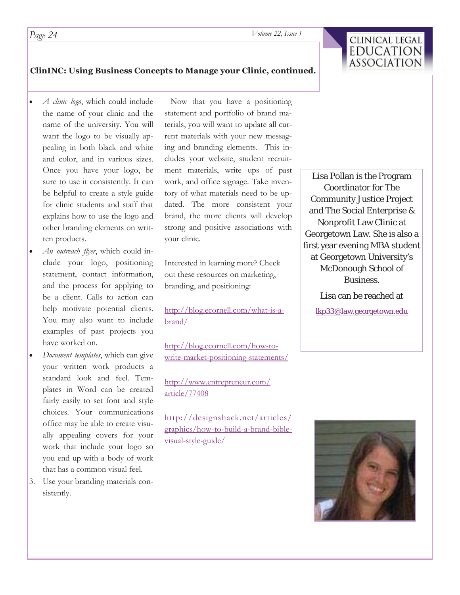

### **ClinINC: Using Business Concepts to Manage your Clinic, continued.**

- *A clinic logo*, which could include the name of your clinic and the name of the university. You will want the logo to be visually appealing in both black and white and color, and in various sizes. Once you have your logo, be sure to use it consistently. It can be helpful to create a style guide for clinic students and staff that explains how to use the logo and other branding elements on written products.
- An outreach flyer, which could include your logo, positioning statement, contact information, and the process for applying to be a client. Calls to action can help motivate potential clients. You may also want to include examples of past projects you have worked on.
- x *Document templates*, which can give your written work products a standard look and feel. Templates in Word can be created fairly easily to set font and style choices. Your communications office may be able to create visually appealing covers for your work that include your logo so you end up with a body of work that has a common visual feel.
- 3. Use your branding materials consistently.

 Now that you have a positioning statement and portfolio of brand materials, you will want to update all current materials with your new messaging and branding elements. This includes your website, student recruitment materials, write ups of past work, and office signage. Take inventory of what materials need to be updated. The more consistent your brand, the more clients will develop strong and positive associations with your clinic.

Interested in learning more? Check out these resources on marketing, branding, and positioning:

http://blog.ecornell.com/what-is-abrand/

http://blog.ecornell.com/how-towrite-market-positioning-statements/

http://www.entrepreneur.com/ article/77408

http://designshack.net/articles/ graphics/how-to-build-a-brand-biblevisual-style-guide/

Lisa Pollan is the Program Coordinator for The Community Justice Project and The Social Enterprise & Nonprofit Law Clinic at Georgetown Law. She is also a first year evening MBA student at Georgetown University's McDonough School of Business.

> Lisa can be reached at lkp33@law.georgetown.edu

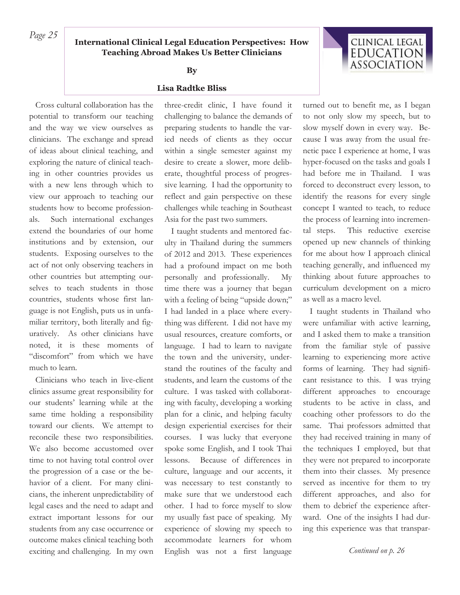# *Page 25* **International Clinical Legal Education Perspectives: How Teaching Abroad Makes Us Better Clinicians**

#### **By**

#### **Lisa Radtke Bliss**

 Cross cultural collaboration has the potential to transform our teaching and the way we view ourselves as clinicians. The exchange and spread of ideas about clinical teaching, and exploring the nature of clinical teaching in other countries provides us with a new lens through which to view our approach to teaching our students how to become professionals. Such international exchanges extend the boundaries of our home institutions and by extension, our students. Exposing ourselves to the act of not only observing teachers in other countries but attempting ourselves to teach students in those countries, students whose first language is not English, puts us in unfamiliar territory, both literally and figuratively. As other clinicians have noted, it is these moments of "discomfort" from which we have much to learn.

 Clinicians who teach in live-client clinics assume great responsibility for our students' learning while at the same time holding a responsibility toward our clients. We attempt to reconcile these two responsibilities. We also become accustomed over time to not having total control over the progression of a case or the behavior of a client. For many clinicians, the inherent unpredictability of legal cases and the need to adapt and extract important lessons for our students from any case occurrence or outcome makes clinical teaching both exciting and challenging. In my own

three-credit clinic, I have found it challenging to balance the demands of preparing students to handle the varied needs of clients as they occur within a single semester against my desire to create a slower, more deliberate, thoughtful process of progressive learning. I had the opportunity to reflect and gain perspective on these challenges while teaching in Southeast Asia for the past two summers.

 I taught students and mentored faculty in Thailand during the summers of 2012 and 2013. These experiences had a profound impact on me both personally and professionally. My time there was a journey that began with a feeling of being "upside down;" I had landed in a place where everything was different. I did not have my usual resources, creature comforts, or language. I had to learn to navigate the town and the university, understand the routines of the faculty and students, and learn the customs of the culture. I was tasked with collaborating with faculty, developing a working plan for a clinic, and helping faculty design experiential exercises for their courses. I was lucky that everyone spoke some English, and I took Thai lessons. Because of differences in culture, language and our accents, it was necessary to test constantly to make sure that we understood each other. I had to force myself to slow my usually fast pace of speaking. My experience of slowing my speech to accommodate learners for whom English was not a first language

turned out to benefit me, as I began to not only slow my speech, but to slow myself down in every way. Because I was away from the usual frenetic pace I experience at home, I was hyper-focused on the tasks and goals I had before me in Thailand. I was forced to deconstruct every lesson, to identify the reasons for every single concept I wanted to teach, to reduce the process of learning into incremental steps. This reductive exercise opened up new channels of thinking for me about how I approach clinical teaching generally, and influenced my thinking about future approaches to curriculum development on a micro as well as a macro level.

CLINICAL LEGAL **EDUCATION** ASSOCIATION

I taught students in Thailand who were unfamiliar with active learning, and I asked them to make a transition from the familiar style of passive learning to experiencing more active forms of learning. They had significant resistance to this. I was trying different approaches to encourage students to be active in class, and coaching other professors to do the same. Thai professors admitted that they had received training in many of the techniques I employed, but that they were not prepared to incorporate them into their classes. My presence served as incentive for them to try different approaches, and also for them to debrief the experience afterward. One of the insights I had during this experience was that transpar-

*Continued on p. 26*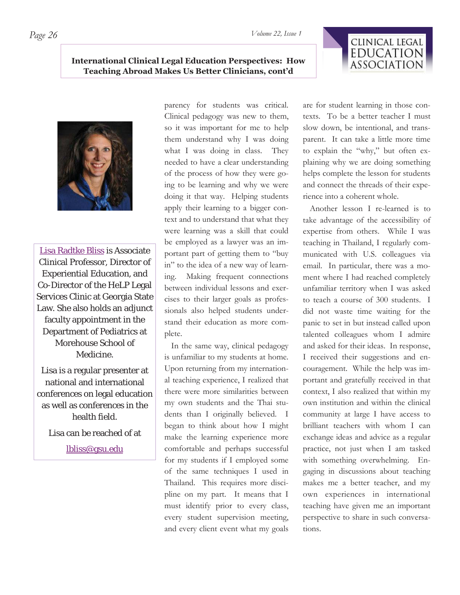# CLINICAL LEGAL **EDUCATION** ASSOCIATION

## **International Clinical Legal Education Perspectives: How Teaching Abroad Makes Us Better Clinicians, cont'd**



Lisa Radtke Bliss is Associate Clinical Professor, Director of Experiential Education, and Co-Director of the HeLP Legal Services Clinic at Georgia State Law. She also holds an adjunct faculty appointment in the Department of Pediatrics at Morehouse School of Medicine.

Lisa is a regular presenter at national and international conferences on legal education as well as conferences in the health field.

Lisa can be reached of at

lbliss@gsu.edu

parency for students was critical. Clinical pedagogy was new to them, so it was important for me to help them understand why I was doing what I was doing in class. They needed to have a clear understanding of the process of how they were going to be learning and why we were doing it that way. Helping students apply their learning to a bigger context and to understand that what they were learning was a skill that could be employed as a lawyer was an important part of getting them to "buy in" to the idea of a new way of learning. Making frequent connections between individual lessons and exercises to their larger goals as professionals also helped students understand their education as more complete.

 In the same way, clinical pedagogy is unfamiliar to my students at home. Upon returning from my international teaching experience, I realized that there were more similarities between my own students and the Thai students than I originally believed. I began to think about how I might make the learning experience more comfortable and perhaps successful for my students if I employed some of the same techniques I used in Thailand. This requires more discipline on my part. It means that I must identify prior to every class, every student supervision meeting, and every client event what my goals are for student learning in those contexts. To be a better teacher I must slow down, be intentional, and transparent. It can take a little more time to explain the "why," but often explaining why we are doing something helps complete the lesson for students and connect the threads of their experience into a coherent whole.

 Another lesson I re-learned is to take advantage of the accessibility of expertise from others. While I was teaching in Thailand, I regularly communicated with U.S. colleagues via email. In particular, there was a moment where I had reached completely unfamiliar territory when I was asked to teach a course of 300 students. I did not waste time waiting for the panic to set in but instead called upon talented colleagues whom I admire and asked for their ideas. In response, I received their suggestions and encouragement. While the help was important and gratefully received in that context, I also realized that within my own institution and within the clinical community at large I have access to brilliant teachers with whom I can exchange ideas and advice as a regular practice, not just when I am tasked with something overwhelming. Engaging in discussions about teaching makes me a better teacher, and my own experiences in international teaching have given me an important perspective to share in such conversations.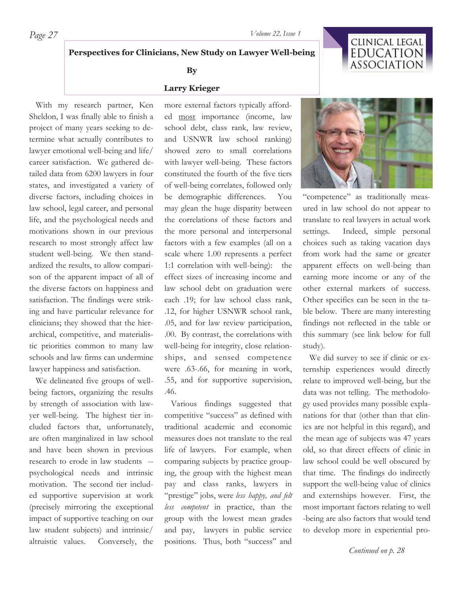# **Perspectives for Clinicians, New Study on Lawyer Well-being**

#### **By**

#### **Larry Krieger**

 With my research partner, Ken Sheldon, I was finally able to finish a project of many years seeking to determine what actually contributes to lawyer emotional well-being and life/ career satisfaction. We gathered detailed data from 6200 lawyers in four states, and investigated a variety of diverse factors, including choices in law school, legal career, and personal life, and the psychological needs and motivations shown in our previous research to most strongly affect law student well-being. We then standardized the results, to allow comparison of the apparent impact of all of the diverse factors on happiness and satisfaction. The findings were striking and have particular relevance for clinicians; they showed that the hierarchical, competitive, and materialistic priorities common to many law schools and law firms can undermine lawyer happiness and satisfaction.

 We delineated five groups of wellbeing factors, organizing the results by strength of association with lawyer well-being. The highest tier included factors that, unfortunately, are often marginalized in law school and have been shown in previous research to erode in law students - psychological needs and intrinsic motivation. The second tier included supportive supervision at work (precisely mirroring the exceptional impact of supportive teaching on our law student subjects) and intrinsic/ altruistic values. Conversely, the

more external factors typically afforded most importance (income, law school debt, class rank, law review, and USNWR law school ranking) showed zero to small correlations with lawyer well-being. These factors constituted the fourth of the five tiers of well-being correlates, followed only be demographic differences. You may glean the huge disparity between the correlations of these factors and the more personal and interpersonal factors with a few examples (all on a scale where 1.00 represents a perfect 1:1 correlation with well-being): the effect sizes of increasing income and law school debt on graduation were each .19; for law school class rank, .12, for higher USNWR school rank, .05, and for law review participation, .00. By contrast, the correlations with well-being for integrity, close relationships, and sensed competence were .63-.66, for meaning in work, .55, and for supportive supervision, .46.

 Various findings suggested that competitive "success" as defined with traditional academic and economic measures does not translate to the real life of lawyers. For example, when comparing subjects by practice grouping, the group with the highest mean pay and class ranks, lawyers in "prestige" jobs, were *less happy, and felt less competent* in practice, than the group with the lowest mean grades and pay, lawyers in public service positions. Thus, both "success" and





"competence" as traditionally measured in law school do not appear to translate to real lawyers in actual work settings. Indeed, simple personal choices such as taking vacation days from work had the same or greater apparent effects on well-being than earning more income or any of the other external markers of success. Other specifics can be seen in the table below. There are many interesting findings not reflected in the table or this summary (see link below for full study).

 We did survey to see if clinic or externship experiences would directly relate to improved well-being, but the data was not telling. The methodology used provides many possible explanations for that (other than that clinics are not helpful in this regard), and the mean age of subjects was 47 years old, so that direct effects of clinic in law school could be well obscured by that time. The findings do indirectly support the well-being value of clinics and externships however. First, the most important factors relating to well -being are also factors that would tend to develop more in experiential pro-

*Continued on p. 28*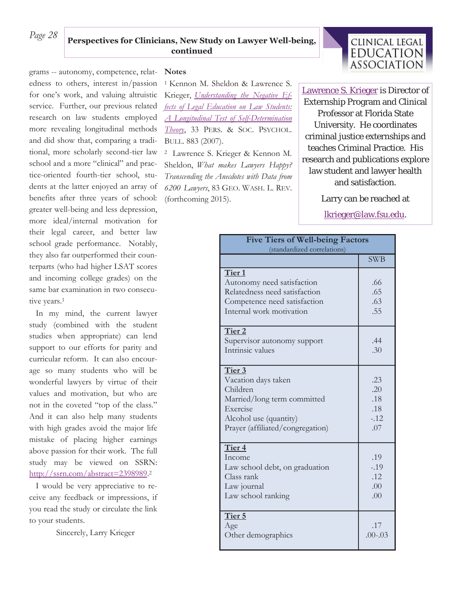# *Page 28* **Perspectives for Clinicians, New Study on Lawyer Well-being, continued**

grams -- autonomy, competence, relat-**Notes**  edness to others, interest in/passion for one's work, and valuing altruistic service. Further, our previous related research on law students employed more revealing longitudinal methods and did show that, comparing a traditional, more scholarly second-tier law school and a more "clinical" and practice-oriented fourth-tier school, students at the latter enjoyed an array of benefits after three years of school: greater well-being and less depression, more ideal/internal motivation for their legal career, and better law school grade performance. Notably, they also far outperformed their counterparts (who had higher LSAT scores and incoming college grades) on the same bar examination in two consecutive years.1

 In my mind, the current lawyer study (combined with the student studies when appropriate) can lend support to our efforts for parity and curricular reform. It can also encourage so many students who will be wonderful lawyers by virtue of their values and motivation, but who are not in the coveted "top of the class." And it can also help many students with high grades avoid the major life mistake of placing higher earnings above passion for their work. The full study may be viewed on SSRN: http://ssrn.com/abstract=2398989.<sup>2</sup>

 I would be very appreciative to receive any feedback or impressions, if you read the study or circulate the link to your students.

Sincerely, Larry Krieger

1 Kennon M. Sheldon & Lawrence S. Krieger, *Understanding the Negative Effects of Legal Education on Law Students: A Longitudinal Test of Self-Determination Theory*, 33 PERS. & SOC. PSYCHOL. BULL. 883 (2007).

2 Lawrence S. Krieger & Kennon M. Sheldon, *What makes Lawyers Happy? Transcending the Anecdotes with Data from 6200 Lawyers*, 83 GEO. WASH. L. REV. (forthcoming 2015).



Lawrence S. Krieger is Director of Externship Program and Clinical Professor at Florida State University. He coordinates criminal justice externships and teaches Criminal Practice. His research and publications explore law student and lawyer health and satisfaction.

Larry can be reached at

lkrieger@law.fsu.edu.

| <b>Five Tiers of Well-being Factors</b><br>(standardized correlations)                                                                             |                                          |  |
|----------------------------------------------------------------------------------------------------------------------------------------------------|------------------------------------------|--|
|                                                                                                                                                    | <b>SWB</b>                               |  |
| Tier <sub>1</sub><br>Autonomy need satisfaction<br>Relatedness need satisfaction<br>Competence need satisfaction<br>Internal work motivation       | .66<br>.65<br>.63<br>.55                 |  |
| Tier <sub>2</sub><br>Supervisor autonomy support<br>Intrinsic values                                                                               | .44<br>.30                               |  |
| Tier 3<br>Vacation days taken<br>Children<br>Married/long term committed<br>Exercise<br>Alcohol use (quantity)<br>Prayer (affiliated/congregation) | .23<br>.20<br>.18<br>.18<br>$-12$<br>.07 |  |
| Tier <sub>4</sub><br>Income<br>Law school debt, on graduation<br>Class rank<br>Law journal<br>Law school ranking                                   | .19<br>$-.19$<br>.12<br>.00<br>.00.      |  |
| Tier 5<br>Age<br>Other demographics                                                                                                                | .17<br>$.00 - .03$                       |  |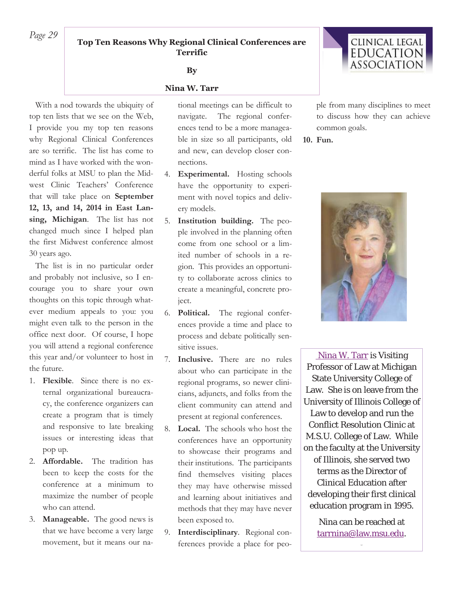# *Page 29* **Top Ten Reasons Why Regional Clinical Conferences are Terrific**

#### **By**

#### **Nina W. Tarr**

 With a nod towards the ubiquity of top ten lists that we see on the Web, I provide you my top ten reasons why Regional Clinical Conferences are so terrific. The list has come to mind as I have worked with the wonderful folks at MSU to plan the Midwest Clinic Teachers' Conference that will take place on **September 12, 13, and 14, 2014 in East Lansing, Michigan**. The list has not changed much since I helped plan the first Midwest conference almost 30 years ago.

 The list is in no particular order and probably not inclusive, so I encourage you to share your own thoughts on this topic through whatever medium appeals to you: you might even talk to the person in the office next door. Of course, I hope you will attend a regional conference this year and/or volunteer to host in the future.

- 1. **Flexible**. Since there is no external organizational bureaucracy, the conference organizers can create a program that is timely and responsive to late breaking issues or interesting ideas that pop up.
- 2. **Affordable.** The tradition has been to keep the costs for the conference at a minimum to maximize the number of people who can attend.
- 3. **Manageable.** The good news is that we have become a very large movement, but it means our na-

tional meetings can be difficult to navigate. The regional conferences tend to be a more manageable in size so all participants, old and new, can develop closer connections.

- 4. **Experimental.** Hosting schools have the opportunity to experiment with novel topics and delivery models.
- 5. **Institution building.** The people involved in the planning often come from one school or a limited number of schools in a region. This provides an opportunity to collaborate across clinics to create a meaningful, concrete project.
- 6. **Political.** The regional conferences provide a time and place to process and debate politically sensitive issues.
- 7. **Inclusive.** There are no rules about who can participate in the regional programs, so newer clinicians, adjuncts, and folks from the client community can attend and present at regional conferences.
- 8. **Local.** The schools who host the conferences have an opportunity to showcase their programs and their institutions. The participants find themselves visiting places they may have otherwise missed and learning about initiatives and methods that they may have never been exposed to.
- 9. **Interdisciplinary**. Regional conferences provide a place for peo-

ple from many disciplines to meet to discuss how they can achieve common goals.

**10. Fun.** 



 Nina W. Tarr is Visiting Professor of Law at Michigan State University College of Law. She is on leave from the University of Illinois College of Law to develop and run the Conflict Resolution Clinic at M.S.U. College of Law. While on the faculty at the University of Illinois, she served two terms as the Director of Clinical Education after developing their first clinical education program in 1995.

> Nina can be reached at tarrnina@law.msu.edu.

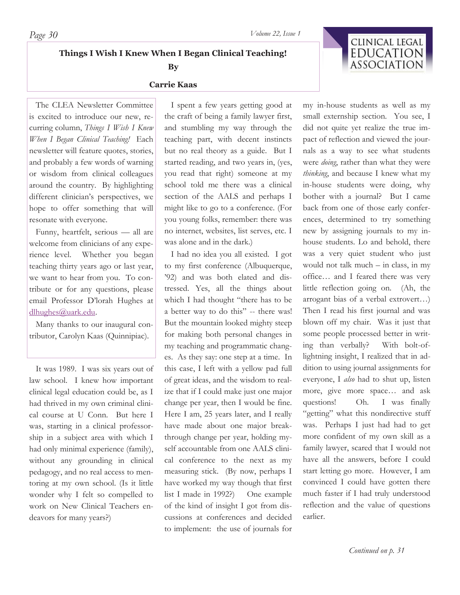**Things I Wish I Knew When I Began Clinical Teaching!** 

# **By Carrie Kaas**

 The CLEA Newsletter Committee is excited to introduce our new, recurring column, *Things I Wish I Knew When I Began Clinical Teaching!* Each newsletter will feature quotes, stories, and probably a few words of warning or wisdom from clinical colleagues around the country. By highlighting different clinician's perspectives, we hope to offer something that will resonate with everyone.

 Funny, heartfelt, serious — all are welcome from clinicians of any experience level. Whether you began teaching thirty years ago or last year, we want to hear from you. To contribute or for any questions, please email Professor D'lorah Hughes at dlhughes@uark.edu.

 Many thanks to our inaugural contributor, Carolyn Kaas (Quinnipiac).

 It was 1989. I was six years out of law school. I knew how important clinical legal education could be, as I had thrived in my own criminal clinical course at U Conn. But here I was, starting in a clinical professorship in a subject area with which I had only minimal experience (family), without any grounding in clinical pedagogy, and no real access to mentoring at my own school. (Is it little wonder why I felt so compelled to work on New Clinical Teachers endeavors for many years?)

 I spent a few years getting good at the craft of being a family lawyer first, and stumbling my way through the teaching part, with decent instincts but no real theory as a guide. But I started reading, and two years in, (yes, you read that right) someone at my school told me there was a clinical section of the AALS and perhaps I might like to go to a conference. (For you young folks, remember: there was no internet, websites, list serves, etc. I was alone and in the dark.)

 I had no idea you all existed. I got to my first conference (Albuquerque, '92) and was both elated and distressed. Yes, all the things about which I had thought "there has to be a better way to do this" -- there was! But the mountain looked mighty steep for making both personal changes in my teaching and programmatic changes. As they say: one step at a time. In this case, I left with a yellow pad full of great ideas, and the wisdom to realize that if I could make just one major change per year, then I would be fine. Here I am, 25 years later, and I really have made about one major breakthrough change per year, holding myself accountable from one AALS clinical conference to the next as my measuring stick. (By now, perhaps I have worked my way though that first list I made in 1992?) One example of the kind of insight I got from discussions at conferences and decided to implement: the use of journals for

my in-house students as well as my small externship section. You see, I did not quite yet realize the true impact of reflection and viewed the journals as a way to see what students were *doing*, rather than what they were *thinking*, and because I knew what my in-house students were doing, why bother with a journal? But I came back from one of those early conferences, determined to try something new by assigning journals to my inhouse students. Lo and behold, there was a very quiet student who just would not talk much – in class, in my office… and I feared there was very little reflection going on. (Ah, the arrogant bias of a verbal extrovert…) Then I read his first journal and was blown off my chair. Was it just that some people processed better in writing than verbally? With bolt-oflightning insight, I realized that in addition to using journal assignments for everyone, I *also* had to shut up, listen more, give more space… and ask questions! Oh. I was finally "getting" what this nondirective stuff was. Perhaps I just had had to get more confident of my own skill as a family lawyer, scared that I would not have all the answers, before I could start letting go more. However, I am convinced I could have gotten there much faster if I had truly understood reflection and the value of questions earlier.

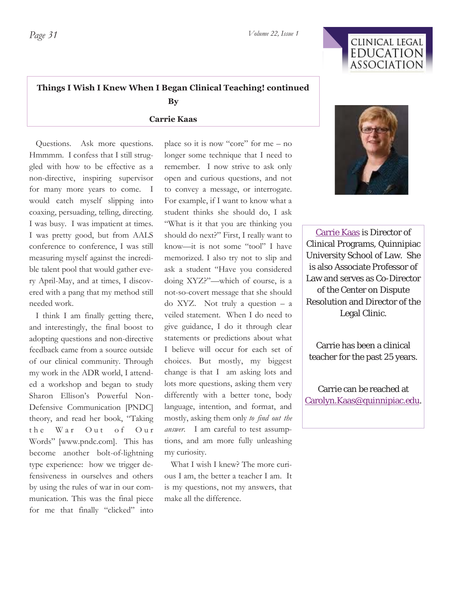

# **Things I Wish I Knew When I Began Clinical Teaching! continued By**

**Carrie Kaas** 

 Questions. Ask more questions. Hmmmm. I confess that I still struggled with how to be effective as a non-directive, inspiring supervisor for many more years to come. I would catch myself slipping into coaxing, persuading, telling, directing. I was busy. I was impatient at times. I was pretty good, but from AALS conference to conference, I was still measuring myself against the incredible talent pool that would gather every April-May, and at times, I discovered with a pang that my method still needed work.

 I think I am finally getting there, and interestingly, the final boost to adopting questions and non-directive feedback came from a source outside of our clinical community. Through my work in the ADR world, I attended a workshop and began to study Sharon Ellison's Powerful Non-Defensive Communication [PNDC] theory, and read her book, "Taking the War Out of Our Words" [www.pndc.com]. This has become another bolt-of-lightning type experience: how we trigger defensiveness in ourselves and others by using the rules of war in our communication. This was the final piece for me that finally "clicked" into

place so it is now "core" for me – no longer some technique that I need to remember. I now strive to ask only open and curious questions, and not to convey a message, or interrogate. For example, if I want to know what a student thinks she should do, I ask "What is it that you are thinking you should do next?" First, I really want to know—it is not some "tool" I have memorized. I also try not to slip and ask a student "Have you considered doing XYZ?"—which of course, is a not-so-covert message that she should do XYZ. Not truly a question – a veiled statement. When I do need to give guidance, I do it through clear statements or predictions about what I believe will occur for each set of choices. But mostly, my biggest change is that I am asking lots and lots more questions, asking them very differently with a better tone, body language, intention, and format, and mostly, asking them only *to find out the answer.* I am careful to test assumptions, and am more fully unleashing my curiosity.

 What I wish I knew? The more curious I am, the better a teacher I am. It is my questions, not my answers, that make all the difference.



Carrie Kaas is Director of Clinical Programs, Quinnipiac University School of Law. She is also Associate Professor of Law and serves as Co-Director of the Center on Dispute Resolution and Director of the Legal Clinic.

Carrie has been a clinical teacher for the past 25 years.

Carrie can be reached at Carolyn.Kaas@quinnipiac.edu.